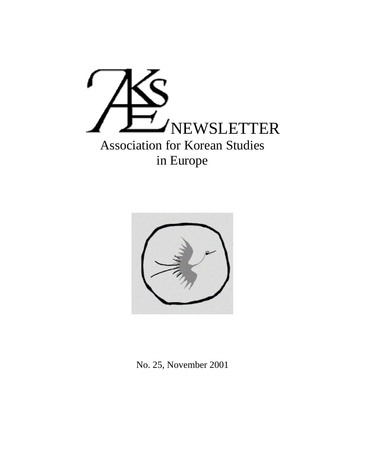



No. 25, November 2001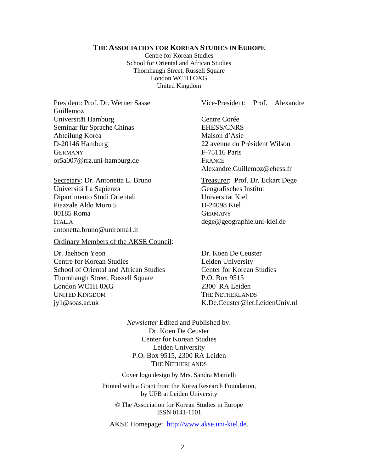#### **THE ASSOCIATION FOR KOREAN STUDIES IN EUROPE**

Centre for Korean Studies School for Oriental and African Studies Thornhaugh Street, Russell Square London WC1H OXG United Kingdom

Guillemoz Universität Hamburg Centre Corée Seminar für Sprache Chinas EHESS/CNRS Abteilung Korea Maison d'Asie D-20146 Hamburg 22 avenue du Président Wilson GERMANY F-75116 Paris or5a007@rrz.uni-hamburg.de FRANCE

Universitá La Sapienza Geografisches Institut Dipartimento Studi Orientali Universität Kiel Piazzale Aldo Moro 5 D-24098 Kiel 00185 Roma GERMANY ITALIA dege@geographie.uni-kiel.de antonetta.bruno@uniroma1.it

#### Ordinary Members of the AKSE Council:

Dr. Jaehoon Yeon Dr. Koen De Ceuster Centre for Korean Studies Leiden University School of Oriental and African Studies Center for Korean Studies Thornhaugh Street, Russell Square P.O. Box 9515 London WC1H 0XG 2300 RA Leiden UNITED KINGDOM THE NETHERLANDS jy1@soas.ac.uk K.De.Ceuster@let.LeidenUniv.nl

President: Prof. Dr. Werner Sasse Vice-President: Prof. Alexandre

Alexandre.Guillemoz@ehess.fr

Secretary: Dr. Antonetta L. Bruno Treasurer: Prof. Dr. Eckart Dege

*Newsletter* Edited and Published by: Dr. Koen De Ceuster Center for Korean Studies Leiden University P.O. Box 9515, 2300 RA Leiden THE NETHERLANDS

Cover logo design by Mrs. Sandra Mattielli

Printed with a Grant from the Korea Research Foundation, by UFB at Leiden University

© The Association for Korean Studies in Europe ISSN 0141-1101

AKSE Homepage: http://www.akse.uni-kiel.de.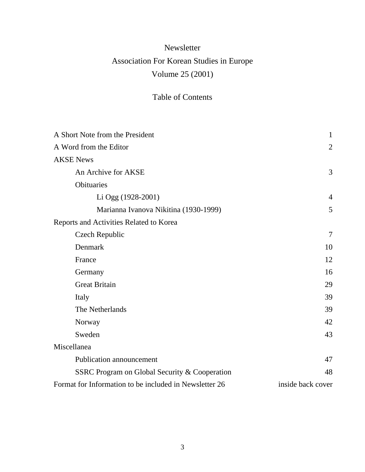# Newsletter Association For Korean Studies in Europe Volume 25 (2001)

## Table of Contents

| A Short Note from the President                        | $\mathbf{1}$      |
|--------------------------------------------------------|-------------------|
| A Word from the Editor                                 | $\overline{2}$    |
| <b>AKSE News</b>                                       |                   |
| An Archive for AKSE                                    | 3                 |
| Obituaries                                             |                   |
| Li Ogg (1928-2001)                                     | $\overline{4}$    |
| Marianna Ivanova Nikitina (1930-1999)                  | 5                 |
| Reports and Activities Related to Korea                |                   |
| Czech Republic                                         | 7                 |
| Denmark                                                | 10                |
| France                                                 | 12                |
| Germany                                                | 16                |
| <b>Great Britain</b>                                   | 29                |
| Italy                                                  | 39                |
| The Netherlands                                        | 39                |
| Norway                                                 | 42                |
| Sweden                                                 | 43                |
| Miscellanea                                            |                   |
| <b>Publication announcement</b>                        | 47                |
| SSRC Program on Global Security & Cooperation          | 48                |
| Format for Information to be included in Newsletter 26 | inside back cover |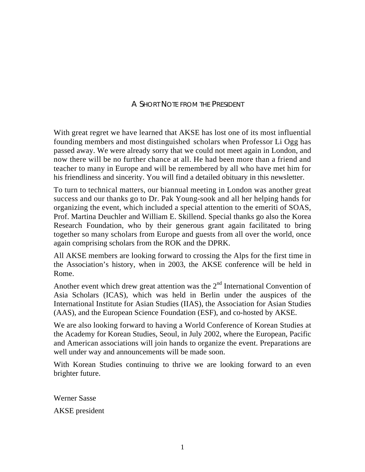### A SHORT NOTE FROM THE PRESIDENT

With great regret we have learned that AKSE has lost one of its most influential founding members and most distinguished scholars when Professor Li Ogg has passed away. We were already sorry that we could not meet again in London, and now there will be no further chance at all. He had been more than a friend and teacher to many in Europe and will be remembered by all who have met him for his friendliness and sincerity. You will find a detailed obituary in this newsletter.

To turn to technical matters, our biannual meeting in London was another great success and our thanks go to Dr. Pak Young-sook and all her helping hands for organizing the event, which included a special attention to the emeriti of SOAS, Prof. Martina Deuchler and William E. Skillend. Special thanks go also the Korea Research Foundation, who by their generous grant again facilitated to bring together so many scholars from Europe and guests from all over the world, once again comprising scholars from the ROK and the DPRK.

All AKSE members are looking forward to crossing the Alps for the first time in the Association's history, when in 2003, the AKSE conference will be held in Rome.

Another event which drew great attention was the  $2<sup>nd</sup>$  International Convention of Asia Scholars (ICAS), which was held in Berlin under the auspices of the International Institute for Asian Studies (IIAS), the Association for Asian Studies (AAS), and the European Science Foundation (ESF), and co-hosted by AKSE.

We are also looking forward to having a World Conference of Korean Studies at the Academy for Korean Studies, Seoul, in July 2002, where the European, Pacific and American associations will join hands to organize the event. Preparations are well under way and announcements will be made soon.

With Korean Studies continuing to thrive we are looking forward to an even brighter future.

Werner Sasse AKSE president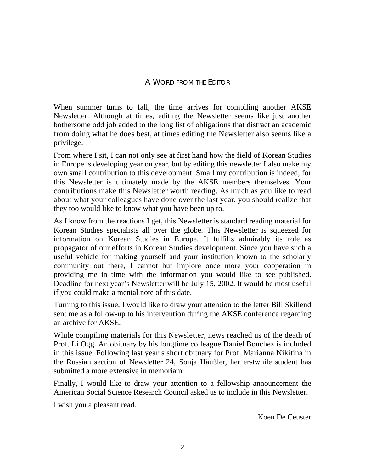#### A WORD FROM THE EDITOR

When summer turns to fall, the time arrives for compiling another AKSE Newsletter. Although at times, editing the Newsletter seems like just another bothersome odd job added to the long list of obligations that distract an academic from doing what he does best, at times editing the Newsletter also seems like a privilege.

From where I sit, I can not only see at first hand how the field of Korean Studies in Europe is developing year on year, but by editing this newsletter I also make my own small contribution to this development. Small my contribution is indeed, for this Newsletter is ultimately made by the AKSE members themselves. Your contributions make this Newsletter worth reading. As much as you like to read about what your colleagues have done over the last year, you should realize that they too would like to know what you have been up to.

As I know from the reactions I get, this Newsletter is standard reading material for Korean Studies specialists all over the globe. This Newsletter is squeezed for information on Korean Studies in Europe. It fulfills admirably its role as propagator of our efforts in Korean Studies development. Since you have such a useful vehicle for making yourself and your institution known to the scholarly community out there, I cannot but implore once more your cooperation in providing me in time with the information you would like to see published. Deadline for next year's Newsletter will be July 15, 2002. It would be most useful if you could make a mental note of this date.

Turning to this issue, I would like to draw your attention to the letter Bill Skillend sent me as a follow-up to his intervention during the AKSE conference regarding an archive for AKSE.

While compiling materials for this Newsletter, news reached us of the death of Prof. Li Ogg. An obituary by his longtime colleague Daniel Bouchez is included in this issue. Following last year's short obituary for Prof. Marianna Nikitina in the Russian section of Newsletter 24, Sonja Häußler, her erstwhile student has submitted a more extensive in memoriam.

Finally, I would like to draw your attention to a fellowship announcement the American Social Science Research Council asked us to include in this Newsletter.

I wish you a pleasant read.

Koen De Ceuster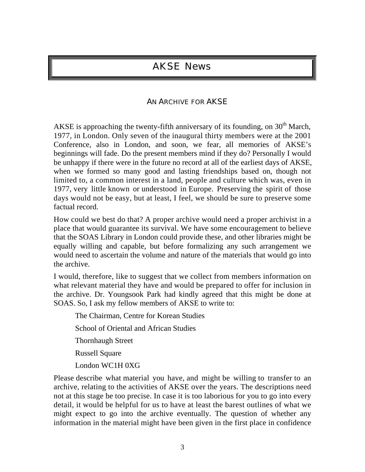## AKSE News

### AN ARCHIVE FOR AKSE

AKSE is approaching the twenty-fifth anniversary of its founding, on  $30<sup>th</sup>$  March, 1977, in London. Only seven of the inaugural thirty members were at the 2001 Conference, also in London, and soon, we fear, all memories of AKSE's beginnings will fade. Do the present members mind if they do? Personally I would be unhappy if there were in the future no record at all of the earliest days of AKSE, when we formed so many good and lasting friendships based on, though not limited to, a common interest in a land, people and culture which was, even in 1977, very little known or understood in Europe. Preserving the spirit of those days would not be easy, but at least, I feel, we should be sure to preserve some factual record.

How could we best do that? A proper archive would need a proper archivist in a place that would guarantee its survival. We have some encouragement to believe that the SOAS Library in London could provide these, and other libraries might be equally willing and capable, but before formalizing any such arrangement we would need to ascertain the volume and nature of the materials that would go into the archive.

I would, therefore, like to suggest that we collect from members information on what relevant material they have and would be prepared to offer for inclusion in the archive. Dr. Youngsook Park had kindly agreed that this might be done at SOAS. So, I ask my fellow members of AKSE to write to:

The Chairman, Centre for Korean Studies

School of Oriental and African Studies

Thornhaugh Street

Russell Square

London WC1H 0XG

Please describe what material you have, and might be willing to transfer to an archive, relating to the activities of AKSE over the years. The descriptions need not at this stage be too precise. In case it is too laborious for you to go into every detail, it would be helpful for us to have at least the barest outlines of what we might expect to go into the archive eventually. The question of whether any information in the material might have been given in the first place in confidence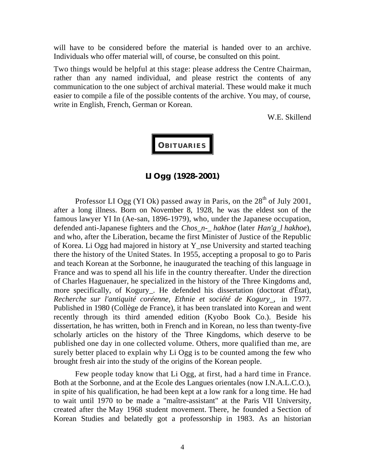will have to be considered before the material is handed over to an archive. Individuals who offer material will, of course, be consulted on this point.

Two things would be helpful at this stage: please address the Centre Chairman, rather than any named individual, and please restrict the contents of any communication to the one subject of archival material. These would make it much easier to compile a file of the possible contents of the archive. You may, of course, write in English, French, German or Korean.

W.E. Skillend

# **OBITUARIES**

**LI Ogg (1928-2001)**

Professor LI Ogg (YI Ok) passed away in Paris, on the  $28<sup>th</sup>$  of July 2001, after a long illness. Born on November 8, 1928, he was the eldest son of the famous lawyer YI In (Ae-san, 1896-1979), who, under the Japanese occupation, defended anti-Japanese fighters and the *Chos\_n-\_ hakhoe* (later *Han'g\_l hakhoe*), and who, after the Liberation, became the first Minister of Justice of the Republic of Korea. Li Ogg had majored in history at Y\_nse University and started teaching there the history of the United States. In 1955, accepting a proposal to go to Paris and teach Korean at the Sorbonne, he inaugurated the teaching of this language in France and was to spend all his life in the country thereafter. Under the direction of Charles Haguenauer, he specialized in the history of the Three Kingdoms and, more specifically, of Kogury. He defended his dissertation (doctorat d'État), *Recherche sur l'antiquité coréenne, Ethnie et société de Kogury\_*, in 1977. Published in 1980 (Collège de France), it has been translated into Korean and went recently through its third amended edition (Kyobo Book Co.). Beside his dissertation, he has written, both in French and in Korean, no less than twenty-five scholarly articles on the history of the Three Kingdoms, which deserve to be published one day in one collected volume. Others, more qualified than me, are surely better placed to explain why Li Ogg is to be counted among the few who brought fresh air into the study of the origins of the Korean people.

Few people today know that Li Ogg, at first, had a hard time in France. Both at the Sorbonne, and at the Ecole des Langues orientales (now I.N.A.L.C.O.), in spite of his qualification, he had been kept at a low rank for a long time. He had to wait until 1970 to be made a "maître-assistant" at the Paris VII University, created after the May 1968 student movement. There, he founded a Section of Korean Studies and belatedly got a professorship in 1983. As an historian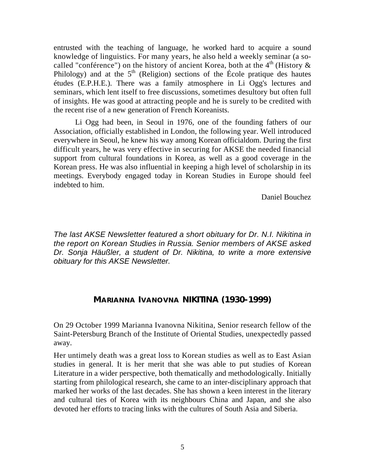entrusted with the teaching of language, he worked hard to acquire a sound knowledge of linguistics. For many years, he also held a weekly seminar (a socalled "conférence") on the history of ancient Korea, both at the  $4<sup>th</sup>$  (History  $\&$ Philology) and at the  $5<sup>th</sup>$  (Religion) sections of the École pratique des hautes études (E.P.H.E.). There was a family atmosphere in Li Ogg's lectures and seminars, which lent itself to free discussions, sometimes desultory but often full of insights. He was good at attracting people and he is surely to be credited with the recent rise of a new generation of French Koreanists.

Li Ogg had been, in Seoul in 1976, one of the founding fathers of our Association, officially established in London, the following year. Well introduced everywhere in Seoul, he knew his way among Korean officialdom. During the first difficult years, he was very effective in securing for AKSE the needed financial support from cultural foundations in Korea, as well as a good coverage in the Korean press. He was also influential in keeping a high level of scholarship in its meetings. Everybody engaged today in Korean Studies in Europe should feel indebted to him.

Daniel Bouchez

*The last AKSE Newsletter featured a short obituary for Dr. N.I. Nikitina in the report on Korean Studies in Russia. Senior members of AKSE asked Dr. Sonja Häußler, a student of Dr. Nikitina, to write a more extensive obituary for this AKSE Newsletter.*

## **MARIANNA IVANOVNA NIKITINA (1930-1999)**

On 29 October 1999 Marianna Ivanovna Nikitina, Senior research fellow of the Saint-Petersburg Branch of the Institute of Oriental Studies, unexpectedly passed away.

Her untimely death was a great loss to Korean studies as well as to East Asian studies in general. It is her merit that she was able to put studies of Korean Literature in a wider perspective, both thematically and methodologically. Initially starting from philological research, she came to an inter-disciplinary approach that marked her works of the last decades. She has shown a keen interest in the literary and cultural ties of Korea with its neighbours China and Japan, and she also devoted her efforts to tracing links with the cultures of South Asia and Siberia.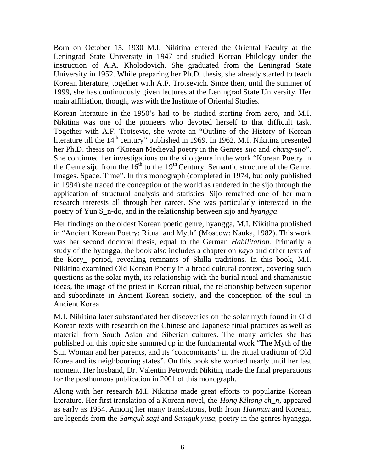Born on October 15, 1930 M.I. Nikitina entered the Oriental Faculty at the Leningrad State University in 1947 and studied Korean Philology under the instruction of A.A. Kholodovich. She graduated from the Leningrad State University in 1952. While preparing her Ph.D. thesis, she already started to teach Korean literature, together with A.F. Trotsevich. Since then, until the summer of 1999, she has continuously given lectures at the Leningrad State University. Her main affiliation, though, was with the Institute of Oriental Studies.

Korean literature in the 1950's had to be studied starting from zero, and M.I. Nikitina was one of the pioneers who devoted herself to that difficult task. Together with A.F. Trotsevic, she wrote an "Outline of the History of Korean literature till the 14<sup>th</sup> century" published in 1969. In 1962, M.I. Nikitina presented her Ph.D. thesis on "Korean Medieval poetry in the Genres *sijo* and *chang-sijo*". She continued her investigations on the sijo genre in the work "Korean Poetry in the Genre sijo from the  $16<sup>th</sup>$  to the  $19<sup>th</sup>$  Century. Semantic structure of the Genre. Images. Space. Time". In this monograph (completed in 1974, but only published in 1994) she traced the conception of the world as rendered in the sijo through the application of structural analysis and statistics. Sijo remained one of her main research interests all through her career. She was particularly interested in the poetry of Yun S\_n-do, and in the relationship between sijo and *hyangga*.

Her findings on the oldest Korean poetic genre, hyangga, M.I. Nikitina published in "Ancient Korean Poetry: Ritual and Myth" (Moscow: Nauka, 1982). This work was her second doctoral thesis, equal to the German *Habilitation*. Primarily a study of the hyangga, the book also includes a chapter on *kayo* and other texts of the Kory\_ period, revealing remnants of Shilla traditions. In this book, M.I. Nikitina examined Old Korean Poetry in a broad cultural context, covering such questions as the solar myth, its relationship with the burial ritual and shamanistic ideas, the image of the priest in Korean ritual, the relationship between superior and subordinate in Ancient Korean society, and the conception of the soul in Ancient Korea.

M.I. Nikitina later substantiated her discoveries on the solar myth found in Old Korean texts with research on the Chinese and Japanese ritual practices as well as material from South Asian and Siberian cultures. The many articles she has published on this topic she summed up in the fundamental work "The Myth of the Sun Woman and her parents, and its 'concomitants' in the ritual tradition of Old Korea and its neighbouring states". On this book she worked nearly until her last moment. Her husband, Dr. Valentin Petrovich Nikitin, made the final preparations for the posthumous publication in 2001 of this monograph.

Along with her research M.I. Nikitina made great efforts to popularize Korean literature. Her first translation of a Korean novel, the *Hong Kiltong ch\_n*, appeared as early as 1954. Among her many translations, both from *Hanmun* and Korean, are legends from the *Samguk sagi* and *Samguk yusa*, poetry in the genres hyangga,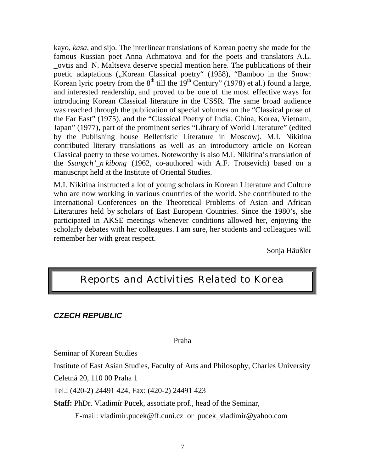kayo, *kasa*, and sijo. The interlinear translations of Korean poetry she made for the famous Russian poet Anna Achmatova and for the poets and translators A.L. \_ovtis and N. Maltseva deserve special mention here. The publications of their poetic adaptations ("Korean Classical poetry" (1958), "Bamboo in the Snow: Korean lyric poetry from the  $8<sup>th</sup>$  till the  $19<sup>th</sup>$  Century" (1978) et al.) found a large, and interested readership, and proved to be one of the most effective ways for introducing Korean Classical literature in the USSR. The same broad audience was reached through the publication of special volumes on the "Classical prose of the Far East" (1975), and the "Classical Poetry of India, China, Korea, Vietnam, Japan" (1977), part of the prominent series "Library of World Literature" (edited by the Publishing house Belletristic Literature in Moscow). M.I. Nikitina contributed literary translations as well as an introductory article on Korean Classical poetry to these volumes. Noteworthy is also M.I. Nikitina's translation of the *Ssangch'\_n kibong* (1962, co-authored with A.F. Trotsevich) based on a manuscript held at the Institute of Oriental Studies.

M.I. Nikitina instructed a lot of young scholars in Korean Literature and Culture who are now working in various countries of the world. She contributed to the International Conferences on the Theoretical Problems of Asian and African Literatures held by scholars of East European Countries. Since the 1980's, she participated in AKSE meetings whenever conditions allowed her, enjoying the scholarly debates with her colleagues. I am sure, her students and colleagues will remember her with great respect.

Sonja Häußler

## Reports and Activities Related to Korea

#### *CZECH REPUBLIC*

Praha

Seminar of Korean Studies

Institute of East Asian Studies, Faculty of Arts and Philosophy, Charles University

Celetná 20, 110 00 Praha 1

Tel.: (420-2) 24491 424, Fax: (420-2) 24491 423

**Staff:** PhDr. Vladimír Pucek, associate prof., head of the Seminar,

E-mail: vladimir.pucek@ff.cuni.cz or pucek\_vladimir@yahoo.com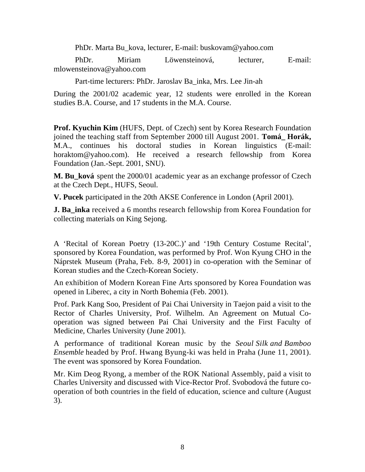PhDr. Marta Bu\_kova, lecturer, E-mail: buskovam@yahoo.com

 PhDr. Miriam Löwensteinová, lecturer, E-mail: mlowensteinova@yahoo.com

Part-time lecturers: PhDr. Jaroslav Ba\_inka, Mrs. Lee Jin-ah

During the 2001/02 academic year, 12 students were enrolled in the Korean studies B.A. Course, and 17 students in the M.A. Course.

**Prof. Kyuchin Kim** (HUFS, Dept. of Czech) sent by Korea Research Foundation joined the teaching staff from September 2000 till August 2001. **Tomá\_ Horák,** M.A., continues his doctoral studies in Korean linguistics (E-mail: horaktom@yahoo.com). He received a research fellowship from Korea Foundation (Jan.-Sept. 2001, SNU).

**M. Bu\_ková** spent the 2000/01 academic year as an exchange professor of Czech at the Czech Dept., HUFS, Seoul.

**V. Pucek** participated in the 20th AKSE Conference in London (April 2001).

**J. Ba inka** received a 6 months research fellowship from Korea Foundation for collecting materials on King Sejong.

A 'Recital of Korean Poetry (13-20C.)' and '19th Century Costume Recital', sponsored by Korea Foundation, was performed by Prof. Won Kyung CHO in the Náprstek Museum (Praha, Feb. 8-9, 2001) in co-operation with the Seminar of Korean studies and the Czech-Korean Society.

An exhibition of Modern Korean Fine Arts sponsored by Korea Foundation was opened in Liberec, a city in North Bohemia (Feb. 2001).

Prof. Park Kang Soo, President of Pai Chai University in Taejon paid a visit to the Rector of Charles University, Prof. Wilhelm. An Agreement on Mutual Cooperation was signed between Pai Chai University and the First Faculty of Medicine, Charles University (June 2001).

A performance of traditional Korean music by the *Seoul Silk and Bamboo Ensemble* headed by Prof. Hwang Byung-ki was held in Praha (June 11, 2001). The event was sponsored by Korea Foundation.

Mr. Kim Deog Ryong, a member of the ROK National Assembly, paid a visit to Charles University and discussed with Vice-Rector Prof. Svobodová the future cooperation of both countries in the field of education, science and culture (August 3).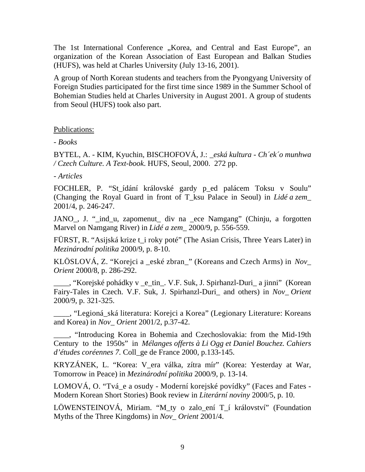The 1st International Conference "Korea, and Central and East Europe", an organization of the Korean Association of East European and Balkan Studies (HUFS), was held at Charles University (July 13-16, 2001).

A group of North Korean students and teachers from the Pyongyang University of Foreign Studies participated for the first time since 1989 in the Summer School of Bohemian Studies held at Charles University in August 2001. A group of students from Seoul (HUFS) took also part.

#### Publications:

*- Books*

BYTEL, A. - KIM, Kyuchin, BISCHOFOVÁ, J.: *\_eská kultura - Ch´ek´o munhwa / Czech Culture. A Text-book*. HUFS, Seoul, 2000. 272 pp.

*- Articles*

FOCHLER, P. "St\_ídání královské gardy p\_ed palácem Toksu v Soulu" (Changing the Royal Guard in front of T\_ksu Palace in Seoul) in *Lidé a zem\_* 2001/4, p. 246-247.

JANO\_, J. "\_ind\_u, zapomenut\_ div na \_ece Namgang" (Chinju, a forgotten Marvel on Namgang River) in *Lidé a zem\_* 2000/9, p. 556-559.

FÜRST, R. "Asijská krize t\_i roky poté" (The Asian Crisis, Three Years Later) in *Mezinárodní politika* 2000/9, p. 8-10.

KLÖSLOVÁ, Z. "Korejci a \_eské zbran\_" (Koreans and Czech Arms) in *Nov\_ Orient* 2000/8, p. 286-292.

\_\_\_\_, "Korejské pohádky v \_e\_tin\_. V.F. Suk, J. Spirhanzl-Duri\_ a jinni" (Korean Fairy-Tales in Czech. V.F. Suk, J. Spirhanzl-Duri\_ and others) in *Nov\_ Orient* 2000/9, p. 321-325.

\_\_\_\_, "Legioná\_ská literatura: Korejci a Korea" (Legionary Literature: Koreans and Korea) in *Nov\_ Orient* 2001/2, p.37-42.

\_\_\_\_, "Introducing Korea in Bohemia and Czechoslovakia: from the Mid-19th Century to the 1950s" in *Mélanges offerts à Li Ogg et Daniel Bouchez. Cahiers d'études coréennes 7.* Coll\_ge de France 2000, p.133-145.

KRYZÁNEK, L. "Korea: V\_era válka, zítra mír" (Korea: Yesterday at War, Tomorrow in Peace) in *Mezinárodní politika* 2000/9, p. 13-14.

LOMOVÁ, O. "Tvá\_e a osudy - Moderní korejské povídky" (Faces and Fates - Modern Korean Short Stories) Book review in *Literární noviny* 2000/5, p. 10.

LÖWENSTEINOVÁ, Miriam. "M\_ty o zalo\_ení T\_í království" (Foundation Myths of the Three Kingdoms) in *Nov\_ Orient* 2001/4.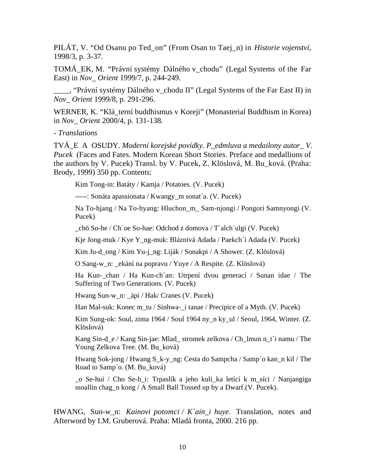PILÁT, V. "Od Osanu po Ted\_on" (From Osan to Taej\_n) in *Historie vojenství*, 1998/3, p. 3-37.

TOMÁ\_EK, M. "Právní systémy Dálného v\_chodu" (Legal Systems of the Far East) in *Nov\_ Orient* 1999/7, p. 244-249.

\_\_\_\_, "Právní systémy Dálného v\_chodu II" (Legal Systems of the Far East II) in *Nov\_ Orient* 1999/8, p. 291-296.

WERNER, K. "Klá\_terní buddhismus v Koreji" (Monasterial Buddhism in Korea) in *Nov\_ Orient* 2000/4, p. 131-138.

*- Translations*

TVÁ\_E A OSUDY. *Moderní korejské povídky. P\_edmluva a medailony autor\_ V. Pucek* (Faces and Fates. Modern Korean Short Stories. Preface and medallions of the authors by V. Pucek) Transl. by V. Pucek, Z. Klöslová, M. Bu\_ková. (Praha: Brody, 1999) 350 pp. Contents:

Kim Tong-in: Batáty / Kamja / Potatoes. (V. Pucek)

-----: Sonáta apassionata / Kwangy\_m sonat´a. (V. Pucek)

Na To-hjang / Na To-hyang: Hluchon\_m\_ Sam-njongi / Pongori Samnyongi (V. Pucek)

\_chö So-he / Ch´oe So-hae: Odchod z domova / T´alch´ulgi (V. Pucek)

Kje Jong-muk / Kye Y\_ng-muk: Bláznivá Adada / Paekch´i Adada (V. Pucek)

Kim Ju-d\_ong / Kim Yu-j\_ng: Liják / Sonakpi / A Shower. (Z. Klöslová)

O Sang-w\_n: \_ekání na popravu / Yuye / A Respite. (Z. Klöslová)

Ha Kun-\_chan / Ha Kun-ch´an: Utrpení dvou generací / Sunan idae / The Suffering of Two Generations. (V. Pucek)

Hwang Sun-w\_n: \_ápi / Hak/ Cranes (V. Pucek)

Han Mal-suk: Konec m\_tu / Sinhwa-\_i tanae / Precipice of a Myth. (V. Pucek)

Kim Sung-ok: Soul, zima 1964 / Soul 1964 ny\_n ky\_ul / Seoul, 1964, Winter. (Z. Klöslová)

Kang Sin-d\_e / Kang Sin-jae: Mlad\_ stromek zelkova / Ch\_lmun n\_t´i namu / The Young Zelkova Tree. (M. Bu\_ková)

Hwang Sok-jong / Hwang S\_k-y\_ng: Cesta do Sampcha / Samp´o kan\_n kil / The Road to Samp´o. (M. Bu\_ková)

\_o Se-hui / Cho Se-h\_i: Trpaslík a jeho kuli\_ka letící k m\_síci / Nanjangiga ssoallin chag\_n kong / A Small Ball Tossed up by a Dwarf.(V. Pucek).

HWANG, Sun-w\_n: *Kainovi potomci / K´ain\_i huye*. Translation, notes and Afterword by I.M. Gruberová. Praha: Mladá fronta, 2000. 216 pp.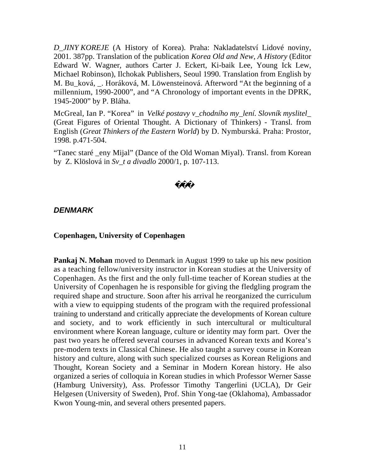*D\_JINY KOREJE* (A History of Korea). Praha: Nakladatelství Lidové noviny, 2001. 387pp. Translation of the publication *Korea Old and New, A History* (Editor Edward W. Wagner, authors Carter J. Eckert, Ki-baik Lee, Young Ick Lew, Michael Robinson), Ilchokak Publishers, Seoul 1990. Translation from English by M. Bu\_ková, \_. Horáková, M. Löwensteinová. Afterword "At the beginning of a millennium, 1990-2000", and "A Chronology of important events in the DPRK, 1945-2000" by P. Bláha.

McGreal, Ian P. "Korea" in *Velké postavy v\_chodního my\_lení. Slovník myslitel\_* (Great Figures of Oriental Thought. A Dictionary of Thinkers) - Transl. from English (*Great Thinkers of the Eastern World*) by D. Nymburská. Praha: Prostor, 1998. p.471-504.

"Tanec staré \_eny Mijal" (Dance of the Old Woman Miyal). Transl. from Korean by Z. Klöslová in *Sv\_t a divadlo* 2000/1, p. 107-113.

## *DENMARK*

#### **Copenhagen, University of Copenhagen**

**Pankaj N. Mohan** moved to Denmark in August 1999 to take up his new position as a teaching fellow/university instructor in Korean studies at the University of Copenhagen. As the first and the only full-time teacher of Korean studies at the University of Copenhagen he is responsible for giving the fledgling program the required shape and structure. Soon after his arrival he reorganized the curriculum with a view to equipping students of the program with the required professional training to understand and critically appreciate the developments of Korean culture and society, and to work efficiently in such intercultural or multicultural environment where Korean language, culture or identity may form part. Over the past two years he offered several courses in advanced Korean texts and Korea's pre-modern texts in Classical Chinese. He also taught a survey course in Korean history and culture, along with such specialized courses as Korean Religions and Thought, Korean Society and a Seminar in Modern Korean history. He also organized a series of colloquia in Korean studies in which Professor Werner Sasse (Hamburg University), Ass. Professor Timothy Tangerlini (UCLA), Dr Geir Helgesen (University of Sweden), Prof. Shin Yong-tae (Oklahoma), Ambassador Kwon Young-min, and several others presented papers.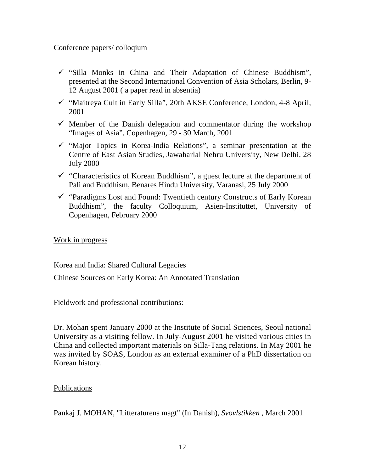#### Conference papers/ colloqium

- $\checkmark$  "Silla Monks in China and Their Adaptation of Chinese Buddhism", presented at the Second International Convention of Asia Scholars, Berlin, 9- 12 August 2001 ( a paper read in absentia)
- ¸ "Maitreya Cult in Early Silla", 20th AKSE Conference, London, 4-8 April, 2001
- $\checkmark$  Member of the Danish delegation and commentator during the workshop "Images of Asia", Copenhagen, 29 - 30 March, 2001
- $\checkmark$  "Major Topics in Korea-India Relations", a seminar presentation at the Centre of East Asian Studies, Jawaharlal Nehru University, New Delhi, 28 July 2000
- $\checkmark$  "Characteristics of Korean Buddhism", a guest lecture at the department of Pali and Buddhism, Benares Hindu University, Varanasi, 25 July 2000
- $\checkmark$  "Paradigms Lost and Found: Twentieth century Constructs of Early Korean Buddhism", the faculty Colloquium, Asien-Instituttet, University of Copenhagen, February 2000

### Work in progress

Korea and India: Shared Cultural Legacies

Chinese Sources on Early Korea: An Annotated Translation

### Fieldwork and professional contributions:

Dr. Mohan spent January 2000 at the Institute of Social Sciences, Seoul national University as a visiting fellow. In July-August 2001 he visited various cities in China and collected important materials on Silla-Tang relations. In May 2001 he was invited by SOAS, London as an external examiner of a PhD dissertation on Korean history.

### Publications

Pankaj J. MOHAN, "Litteraturens magt" (In Danish), *Svovlstikken* , March 2001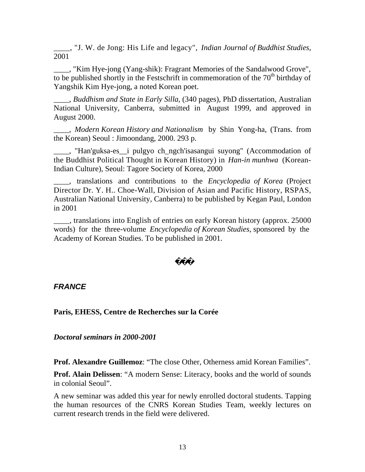\_\_\_\_, "J. W. de Jong: His Life and legacy", *Indian Journal of Buddhist Studies*, 2001

\_\_\_\_, "Kim Hye-jong (Yang-shik): Fragrant Memories of the Sandalwood Grove", to be published shortly in the Festschrift in commemoration of the  $70<sup>th</sup>$  birthday of Yangshik Kim Hye-jong, a noted Korean poet.

\_\_\_\_, *Buddhism and State in Early Silla*, (340 pages), PhD dissertation, Australian National University, Canberra, submitted in August 1999, and approved in August 2000.

\_\_\_\_, *Modern Korean History and Nationalism* by Shin Yong-ha, (Trans. from the Korean) Seoul : Jimoondang, 2000. 293 p.

\_\_\_\_, "Han'guksa-es\_\_i pulgyo ch\_ngch'isasangui suyong" (Accommodation of the Buddhist Political Thought in Korean History) in *Han-in munhwa* (Korean-Indian Culture), Seoul: Tagore Society of Korea, 2000

\_\_\_\_, translations and contributions to the *Encyclopedia of Korea* (Project Director Dr. Y. H.. Choe-Wall, Division of Asian and Pacific History, RSPAS, Australian National University, Canberra) to be published by Kegan Paul, London in 2001

\_\_\_\_, translations into English of entries on early Korean history (approx. 25000 words) for the three-volume *Encyclopedia of Korean Studies*, sponsored by the Academy of Korean Studies. To be published in 2001.

## *FRANCE*

### **Paris, EHESS, Centre de Recherches sur la Corée**

*Doctoral seminars in 2000-2001*

**Prof. Alexandre Guillemoz**: "The close Other, Otherness amid Korean Families".

**Prof. Alain Delissen**: "A modern Sense: Literacy, books and the world of sounds in colonial Seoul".

A new seminar was added this year for newly enrolled doctoral students. Tapping the human resources of the CNRS Korean Studies Team, weekly lectures on current research trends in the field were delivered.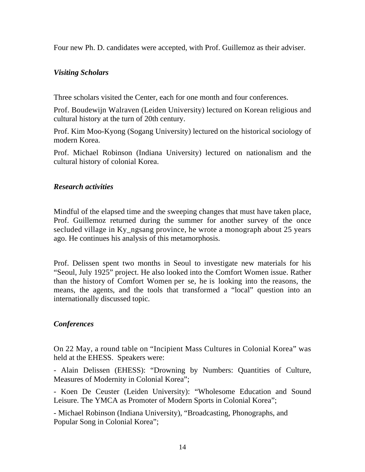Four new Ph. D. candidates were accepted, with Prof. Guillemoz as their adviser.

### *Visiting Scholars*

Three scholars visited the Center, each for one month and four conferences.

Prof. Boudewijn Walraven (Leiden University) lectured on Korean religious and cultural history at the turn of 20th century.

Prof. Kim Moo-Kyong (Sogang University) lectured on the historical sociology of modern Korea.

Prof. Michael Robinson (Indiana University) lectured on nationalism and the cultural history of colonial Korea.

### *Research activities*

Mindful of the elapsed time and the sweeping changes that must have taken place, Prof. Guillemoz returned during the summer for another survey of the once secluded village in Ky ngsang province, he wrote a monograph about 25 years ago. He continues his analysis of this metamorphosis.

Prof. Delissen spent two months in Seoul to investigate new materials for his "Seoul, July 1925" project. He also looked into the Comfort Women issue. Rather than the history of Comfort Women per se, he is looking into the reasons, the means, the agents, and the tools that transformed a "local" question into an internationally discussed topic.

### *Conferences*

On 22 May, a round table on "Incipient Mass Cultures in Colonial Korea" was held at the EHESS. Speakers were:

- Alain Delissen (EHESS): "Drowning by Numbers: Quantities of Culture, Measures of Modernity in Colonial Korea";

- Koen De Ceuster (Leiden University): "Wholesome Education and Sound Leisure. The YMCA as Promoter of Modern Sports in Colonial Korea";

- Michael Robinson (Indiana University), "Broadcasting, Phonographs, and Popular Song in Colonial Korea";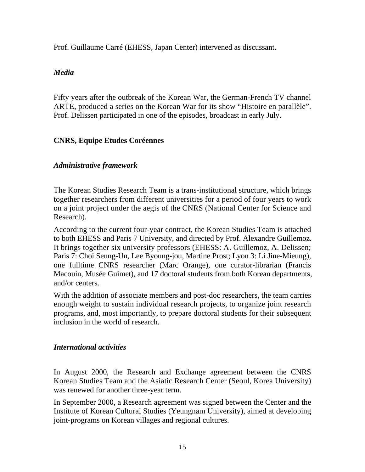Prof. Guillaume Carré (EHESS, Japan Center) intervened as discussant.

## *Media*

Fifty years after the outbreak of the Korean War, the German-French TV channel ARTE, produced a series on the Korean War for its show "Histoire en parallèle". Prof. Delissen participated in one of the episodes, broadcast in early July.

## **CNRS, Equipe Etudes Coréennes**

### *Administrative framework*

The Korean Studies Research Team is a trans-institutional structure, which brings together researchers from different universities for a period of four years to work on a joint project under the aegis of the CNRS (National Center for Science and Research).

According to the current four-year contract, the Korean Studies Team is attached to both EHESS and Paris 7 University, and directed by Prof. Alexandre Guillemoz. It brings together six university professors (EHESS: A. Guillemoz, A. Delissen; Paris 7: Choi Seung-Un, Lee Byoung-jou, Martine Prost; Lyon 3: Li Jine-Mieung), one fulltime CNRS researcher (Marc Orange), one curator-librarian (Francis Macouin, Musée Guimet), and 17 doctoral students from both Korean departments, and/or centers.

With the addition of associate members and post-doc researchers, the team carries enough weight to sustain individual research projects, to organize joint research programs, and, most importantly, to prepare doctoral students for their subsequent inclusion in the world of research.

### *International activities*

In August 2000, the Research and Exchange agreement between the CNRS Korean Studies Team and the Asiatic Research Center (Seoul, Korea University) was renewed for another three-year term.

In September 2000, a Research agreement was signed between the Center and the Institute of Korean Cultural Studies (Yeungnam University), aimed at developing joint-programs on Korean villages and regional cultures.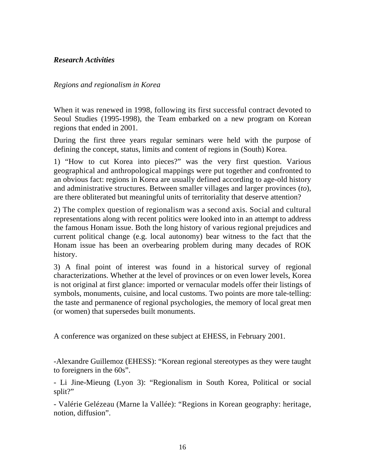### *Research Activities*

#### *Regions and regionalism in Korea*

When it was renewed in 1998, following its first successful contract devoted to Seoul Studies (1995-1998), the Team embarked on a new program on Korean regions that ended in 2001.

During the first three years regular seminars were held with the purpose of defining the concept, status, limits and content of regions in (South) Korea.

1) "How to cut Korea into pieces?" was the very first question. Various geographical and anthropological mappings were put together and confronted to an obvious fact: regions in Korea are usually defined according to age-old history and administrative structures. Between smaller villages and larger provinces (*to*), are there obliterated but meaningful units of territoriality that deserve attention?

2) The complex question of regionalism was a second axis. Social and cultural representations along with recent politics were looked into in an attempt to address the famous Honam issue. Both the long history of various regional prejudices and current political change (e.g. local autonomy) bear witness to the fact that the Honam issue has been an overbearing problem during many decades of ROK history.

3) A final point of interest was found in a historical survey of regional characterizations. Whether at the level of provinces or on even lower levels, Korea is not original at first glance: imported or vernacular models offer their listings of symbols, monuments, cuisine, and local customs. Two points are more tale-telling: the taste and permanence of regional psychologies, the memory of local great men (or women) that supersedes built monuments.

A conference was organized on these subject at EHESS, in February 2001.

-Alexandre Guillemoz (EHESS): "Korean regional stereotypes as they were taught to foreigners in the 60s".

- Li Jine-Mieung (Lyon 3): "Regionalism in South Korea, Political or social split?"

- Valérie Gelézeau (Marne la Vallée): "Regions in Korean geography: heritage, notion, diffusion".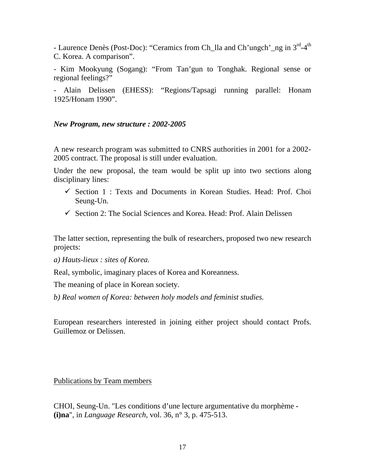- Laurence Denès (Post-Doc): "Ceramics from Ch\_lla and Ch'ungch'\_ng in 3<sup>rd</sup>-4<sup>th</sup> C. Korea. A comparison".

- Kim Mookyung (Sogang): "From Tan'gun to Tonghak. Regional sense or regional feelings?"

- Alain Delissen (EHESS): "Regions/Tapsagi running parallel: Honam 1925/Honam 1990".

#### *New Program, new structure : 2002-2005*

A new research program was submitted to CNRS authorities in 2001 for a 2002- 2005 contract. The proposal is still under evaluation.

Under the new proposal, the team would be split up into two sections along disciplinary lines:

- $\checkmark$  Section 1 : Texts and Documents in Korean Studies. Head: Prof. Choi Seung-Un.
- $\checkmark$  Section 2: The Social Sciences and Korea. Head: Prof. Alain Delissen

The latter section, representing the bulk of researchers, proposed two new research projects:

*a) Hauts-lieux : sites of Korea.*

Real, symbolic, imaginary places of Korea and Koreanness.

The meaning of place in Korean society.

*b) Real women of Korea: between holy models and feminist studies.*

European researchers interested in joining either project should contact Profs. Guillemoz or Delissen.

Publications by Team members

CHOI, Seung-Un. "Les conditions d'une lecture argumentative du morphème **- (i)na**", in *Language Research*, vol. 36, n° 3, p. 475-513.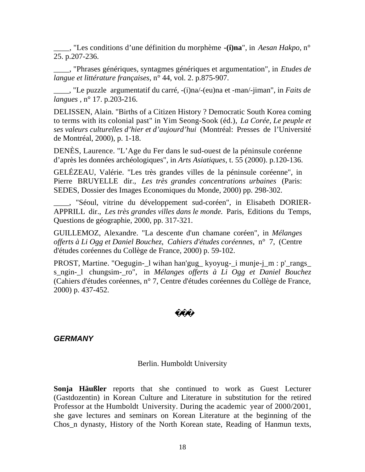\_\_\_\_, "Les conditions d'une définition du morphème **-(i)na**", in *Aesan Hakpo*, n° 25. p.207-236.

\_\_\_\_, "Phrases génériques, syntagmes génériques et argumentation", in *Etudes de langue et littérature françaises*, n° 44, vol. 2. p.875-907.

\_\_\_\_, "Le puzzle argumentatif du carré, -(i)na/-(eu)na et -man/-jiman", in *Faits de langues* , n° 17. p.203-216.

DELISSEN, Alain. "Births of a Citizen History ? Democratic South Korea coming to terms with its colonial past" in Yim Seong-Sook (éd.), *La Corée, Le peuple et ses valeurs culturelles d'hier et d'aujourd'hui* (Montréal: Presses de l'Université de Montréal, 2000), p. 1-18.

DENÈS, Laurence. "L'Age du Fer dans le sud-ouest de la péninsule coréenne d'après les données archéologiques", in *Arts Asiatiques*, t. 55 (2000). p.120-136.

GELÉZEAU, Valérie. "Les très grandes villes de la péninsule coréenne", in Pierre BRUYELLE dir., *Les très grandes concentrations urbaines* (Paris: SEDES, Dossier des Images Economiques du Monde, 2000) pp. 298-302.

\_\_\_\_, "Séoul, vitrine du développement sud-coréen", in Elisabeth DORIER-APPRILL dir., *Les très grandes villes dans le monde.* Paris, Editions du Temps, Questions de géographie, 2000, pp. 317-321.

GUILLEMOZ, Alexandre. "La descente d'un chamane coréen", in *Mélanges offerts à Li Ogg et Daniel Bouchez*, *Cahiers d'études coréennes*, n° 7, (Centre d'études coréennes du Collège de France, 2000) p. 59-102.

PROST, Martine. "Oegugin-\_l wihan han'gug\_ kyoyug-\_i munje-j\_m : p'\_rangs\_ s\_ngin-\_l chungsim-\_ro", in *Mélanges offerts à Li Ogg et Daniel Bouchez* (Cahiers d'études coréennes, n° 7, Centre d'études coréennes du Collège de France, 2000) p. 437-452.

## *GERMANY*

#### Berlin. Humboldt University

**Sonja Häußler** reports that she continued to work as Guest Lecturer (Gastdozentin) in Korean Culture and Literature in substitution for the retired Professor at the Humboldt University. During the academic year of 2000/2001, she gave lectures and seminars on Korean Literature at the beginning of the Chos\_n dynasty, History of the North Korean state, Reading of Hanmun texts,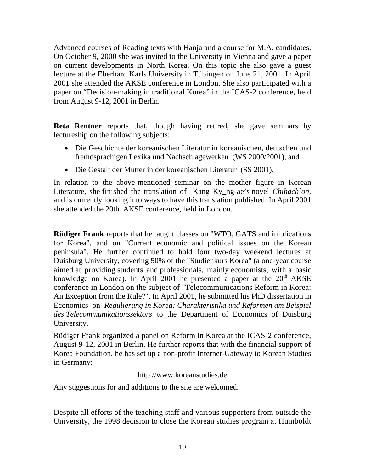Advanced courses of Reading texts with Hanja and a course for M.A. candidates. On October 9, 2000 she was invited to the University in Vienna and gave a paper on current developments in North Korea. On this topic she also gave a guest lecture at the Eberhard Karls University in Tübingen on June 21, 2001. In April 2001 she attended the AKSE conference in London. She also participated with a paper on "Decision-making in traditional Korea" in the ICAS-2 conference, held from August 9-12, 2001 in Berlin.

**Reta Rentner** reports that, though having retired, she gave seminars by lectureship on the following subjects:

- Die Geschichte der koreanischen Literatur in koreanischen, deutschen und fremdsprachigen Lexika und Nachschlagewerken (WS 2000/2001), and
- Die Gestalt der Mutter in der koreanischen Literatur (SS 2001).

In relation to the above-mentioned seminar on the mother figure in Korean Literature, she finished the translation of Kang Ky\_ng-ae's novel *Chihach´on*, and is currently looking into ways to have this translation published. In April 2001 she attended the 20th AKSE conference, held in London.

**Rüdiger Frank** reports that he taught classes on "WTO, GATS and implications for Korea", and on "Current economic and political issues on the Korean peninsula". He further continued to hold four two-day weekend lectures at Duisburg University, covering 50% of the "Studienkurs Korea" (a one-year course aimed at providing students and professionals, mainly economists, with a basic knowledge on Korea). In April 2001 he presented a paper at the  $20<sup>th</sup> AKSE$ conference in London on the subject of "Telecommunications Reform in Korea: An Exception from the Rule?". In April 2001, he submitted his PhD dissertation in Economics on *Regulierung in Korea: Charakteristika und Reformen am Beispiel des Telecommunikationssektors* to the Department of Economics of Duisburg University.

Rüdiger Frank organized a panel on Reform in Korea at the ICAS-2 conference, August 9-12, 2001 in Berlin. He further reports that with the financial support of Korea Foundation, he has set up a non-profit Internet-Gateway to Korean Studies in Germany:

## http://www.koreanstudies.de

Any suggestions for and additions to the site are welcomed.

Despite all efforts of the teaching staff and various supporters from outside the University, the 1998 decision to close the Korean studies program at Humboldt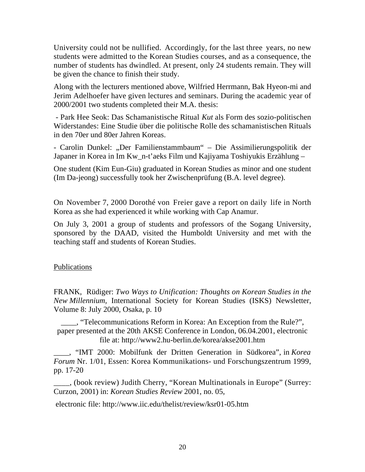University could not be nullified. Accordingly, for the last three years, no new students were admitted to the Korean Studies courses, and as a consequence, the number of students has dwindled. At present, only 24 students remain. They will be given the chance to finish their study.

Along with the lecturers mentioned above, Wilfried Herrmann, Bak Hyeon-mi and Jerim Adelhoefer have given lectures and seminars. During the academic year of 2000/2001 two students completed their M.A. thesis:

 - Park Hee Seok: Das Schamanistische Ritual *Kut* als Form des sozio-politischen Widerstandes: Eine Studie über die politische Rolle des schamanistischen Rituals in den 70er und 80er Jahren Koreas.

- Carolin Dunkel: "Der Familienstammbaum" – Die Assimilierungspolitik der Japaner in Korea in Im Kw\_n-t'aeks Film und Kajiyama Toshiyukis Erzählung –

One student (Kim Eun-Giu) graduated in Korean Studies as minor and one student (Im Da-jeong) successfully took her Zwischenprüfung (B.A. level degree).

On November 7, 2000 Dorothé von Freier gave a report on daily life in North Korea as she had experienced it while working with Cap Anamur.

On July 3, 2001 a group of students and professors of the Sogang University, sponsored by the DAAD, visited the Humboldt University and met with the teaching staff and students of Korean Studies.

### **Publications**

FRANK, Rüdiger: *Two Ways to Unification: Thoughts on Korean Studies in the New Millennium,* International Society for Korean Studies (ISKS) Newsletter, Volume 8: July 2000, Osaka, p. 10

\_\_\_\_, "Telecommunications Reform in Korea: An Exception from the Rule?", paper presented at the 20th AKSE Conference in London, 06.04.2001, electronic file at: http://www2.hu-berlin.de/korea/akse2001.htm

\_\_\_\_, "IMT 2000: Mobilfunk der Dritten Generation in Südkorea", in *Korea Forum* Nr. 1/01, Essen: Korea Kommunikations- und Forschungszentrum 1999, pp. 17-20

\_\_\_\_, (book review) Judith Cherry, "Korean Multinationals in Europe" (Surrey: Curzon, 2001) in: *Korean Studies Review* 2001, no. 05,

electronic file: http://www.iic.edu/thelist/review/ksr01-05.htm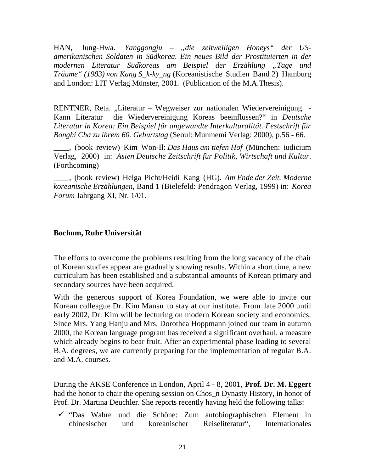HAN, Jung-Hwa. *Yanggongju – "die zeitweiligen Honeys" der USamerikanischen Soldaten in Südkorea. Ein neues Bild der Prostituierten in der modernen Literatur Südkoreas am Beispiel der Erzählung "Tage und Träume" (1983) von Kang S\_k-ky\_ng* (Koreanistische Studien Band 2) Hamburg and London: LIT Verlag Münster, 2001. (Publication of the M.A.Thesis).

RENTNER, Reta. "Literatur – Wegweiser zur nationalen Wiedervereinigung -Kann Literatur die Wiedervereinigung Koreas beeinflussen?" in *Deutsche Literatur in Korea: Ein Beispiel für angewandte Interkulturalität. Festschrift für Bonghi Cha zu ihrem 60. Geburtstag* (Seoul: Munmemi Verlag: 2000), p.56 - 66.

\_\_\_\_, (book review) Kim Won-Il: *Das Haus am tiefen Hof* (München: iudicium Verlag, 2000) in: *Asien Deutsche Zeitschrift für Politik, Wirtschaft und Kultur*. (Forthcoming)

\_\_\_\_, (book review) Helga Picht/Heidi Kang (HG). *Am Ende der Zeit. Moderne koreanische Erzählungen*, Band 1 (Bielefeld: Pendragon Verlag, 1999) in: *Korea Forum* Jahrgang XI, Nr. 1/01.

#### **Bochum, Ruhr Universität**

The efforts to overcome the problems resulting from the long vacancy of the chair of Korean studies appear are gradually showing results. Within a short time, a new curriculum has been established and a substantial amounts of Korean primary and secondary sources have been acquired.

With the generous support of Korea Foundation, we were able to invite our Korean colleague Dr. Kim Mansu to stay at our institute. From late 2000 until early 2002, Dr. Kim will be lecturing on modern Korean society and economics. Since Mrs. Yang Hanju and Mrs. Dorothea Hoppmann joined our team in autumn 2000, the Korean language program has received a significant overhaul, a measure which already begins to bear fruit. After an experimental phase leading to several B.A. degrees, we are currently preparing for the implementation of regular B.A. and M.A. courses.

During the AKSE Conference in London, April 4 - 8, 2001, **Prof. Dr. M. Eggert** had the honor to chair the opening session on Chos\_n Dynasty History, in honor of Prof. Dr. Martina Deuchler. She reports recently having held the following talks:

 $\checkmark$  "Das Wahre und die Schöne: Zum autobiographischen Element in chinesischer und koreanischer Reiseliteratur", Internationales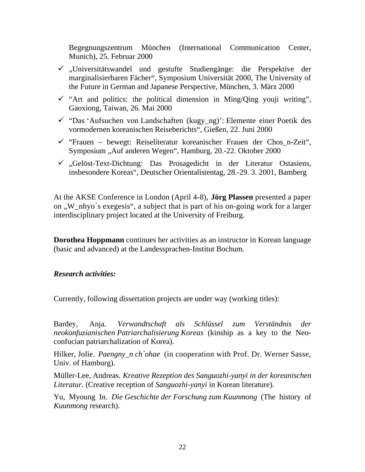Begegnungszentrum München (International Communication Center, Munich), 25. Februar 2000

- $\checkmark$ , Universitätswandel und gestufte Studiengänge: die Perspektive der marginalisierbaren Fächer", Symposium Universität 2000, The University of the Future in German and Japanese Perspective, München, 3. März 2000
- $\checkmark$  "Art and politics: the political dimension in Ming/Qing youji writing", Gaoxiong, Taiwan, 26. Mai 2000
- $\checkmark$  "Das 'Aufsuchen von Landschaften (kugy\_ng)': Elemente einer Poetik des vormodernen koreanischen Reiseberichts", Gießen, 22. Juni 2000
- $\checkmark$  "Frauen bewegt: Reiseliteratur koreanischer Frauen der Chos n-Zeit", Symposium "Auf anderen Wegen", Hamburg, 20.-22. Oktober 2000
- $\checkmark$ , Gelöst-Text-Dichtung: Das Prosagedicht in der Literatur Ostasiens, insbesondere Koreas", Deutscher Orientalistentag, 28.-29. 3. 2001, Bamberg

At the AKSE Conference in London (April 4-8), **Jörg Plassen** presented a paper on "W\_nhyo's exegesis", a subject that is part of his on-going work for a larger interdisciplinary project located at the University of Freiburg.

**Dorothea Hoppmann** continues her activities as an instructor in Korean language (basic and advanced) at the Landessprachen-Institut Bochum.

### *Research activities:*

Currently, following dissertation projects are under way (working titles):

Bardey, Anja. *Verwandtschaft als Schlüssel zum Verständnis der neokonfuzianischen Patriarchalisierung Koreas* (kinship as a key to the Neoconfucian patriarchalization of Korea).

Hilker, Jolie. *Paengny n ch'ohae* (in cooperation with Prof. Dr. Werner Sasse, Univ. of Hamburg).

Müller-Lee, Andreas. *Kreative Rezeption des Sanguozhi-yanyi in der koreanischen Literatur.* (Creative reception of *Sanguozhi-yanyi* in Korean literature).

Yu, Myoung In. *Die Geschichte der Forschung zum Kuunmong* (The history of *Kuunmong* research).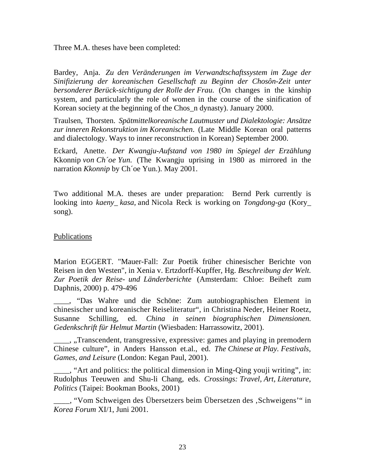Three M.A. theses have been completed:

Bardey, Anja. *Zu den Veränderungen im Verwandtschaftssystem im Zuge der Sinifizierung der koreanischen Gesellschaft zu Beginn der Chosôn-Zeit unter bersonderer Berück-sichtigung der Rolle der Frau.* (On changes in the kinship system, and particularly the role of women in the course of the sinification of Korean society at the beginning of the Chos\_n dynasty). January 2000.

Traulsen, Thorsten. *Spätmittelkoreanische Lautmuster und Dialektologie: Ansätze zur inneren Rekonstruktion im Koreanischen*. (Late Middle Korean oral patterns and dialectology. Ways to inner reconstruction in Korean) September 2000.

Eckard, Anette. *Der Kwangju-Aufstand von 1980 im Spiegel der Erzählung* Kkonnip *von Ch´oe Yun.* (The Kwangju uprising in 1980 as mirrored in the narration *Kkonnip* by Ch´oe Yun.). May 2001.

Two additional M.A. theses are under preparation: Bernd Perk currently is looking into *kaeny\_ kasa,* and Nicola Reck is working on *Tongdong-ga* (Kory\_ song).

#### **Publications**

Marion EGGERT. "Mauer-Fall: Zur Poetik früher chinesischer Berichte von Reisen in den Westen", in Xenia v. Ertzdorff-Kupffer, Hg. *Beschreibung der Welt. Zur Poetik der Reise- und Länderberichte* (Amsterdam: Chloe: Beiheft zum Daphnis, 2000) p. 479-496

\_\_\_\_, "Das Wahre und die Schöne: Zum autobiographischen Element in chinesischer und koreanischer Reiseliteratur", in Christina Neder, Heiner Roetz, Susanne Schilling, ed. *China in seinen biographischen Dimensionen. Gedenkschrift für Helmut Martin* (Wiesbaden: Harrassowitz, 2001).

<sub>\_\_\_\_</sub>, "Transcendent, transgressive, expressive: games and playing in premodern Chinese culture", in Anders Hansson et.al., ed. *The Chinese at Play. Festivals, Games, and Leisure* (London: Kegan Paul, 2001).

\_\_\_\_, "Art and politics: the political dimension in Ming-Qing youji writing", in: Rudolphus Teeuwen and Shu-li Chang, eds. *Crossings: Travel, Art, Literature, Politics* (Taipei: Bookman Books, 2001)

Wom Schweigen des Übersetzers beim Übersetzen des , Schweigens'" in *Korea Forum* XI/1, Juni 2001.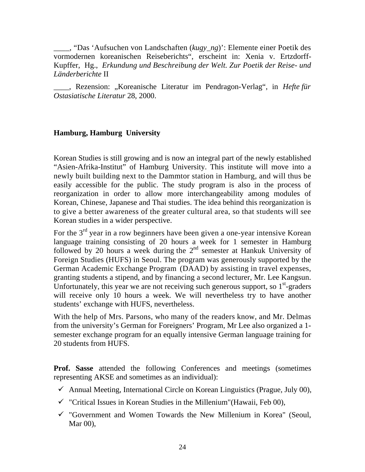\_\_\_\_, "Das 'Aufsuchen von Landschaften (*kugy\_ng*)': Elemente einer Poetik des vormodernen koreanischen Reiseberichts", erscheint in: Xenia v. Ertzdorff-Kupffer, Hg., *Erkundung und Beschreibung der Welt. Zur Poetik der Reise- und Länderberichte* II

<sub>\_\_\_\_</sub>, Rezension: "Koreanische Literatur im Pendragon-Verlag", in *Hefte für Ostasiatische Literatur* 28, 2000.

#### **Hamburg, Hamburg University**

Korean Studies is still growing and is now an integral part of the newly established "Asien-Afrika-Institut" of Hamburg University. This institute will move into a newly built building next to the Dammtor station in Hamburg, and will thus be easily accessible for the public. The study program is also in the process of reorganization in order to allow more interchangeability among modules of Korean, Chinese, Japanese and Thai studies. The idea behind this reorganization is to give a better awareness of the greater cultural area, so that students will see Korean studies in a wider perspective.

For the  $3<sup>rd</sup>$  year in a row beginners have been given a one-year intensive Korean language training consisting of 20 hours a week for 1 semester in Hamburg followed by 20 hours a week during the  $2<sup>nd</sup>$  semester at Hankuk University of Foreign Studies (HUFS) in Seoul. The program was generously supported by the German Academic Exchange Program (DAAD) by assisting in travel expenses, granting students a stipend, and by financing a second lecturer, Mr. Lee Kangsun. Unfortunately, this year we are not receiving such generous support, so  $1<sup>st</sup>$ -graders will receive only 10 hours a week. We will nevertheless try to have another students' exchange with HUFS, nevertheless.

With the help of Mrs. Parsons, who many of the readers know, and Mr. Delmas from the university's German for Foreigners' Program, Mr Lee also organized a 1 semester exchange program for an equally intensive German language training for 20 students from HUFS.

**Prof. Sasse** attended the following Conferences and meetings (sometimes representing AKSE and sometimes as an individual):

- $\checkmark$  Annual Meeting, International Circle on Korean Linguistics (Prague, July 00),
- $\checkmark$  "Critical Issues in Korean Studies in the Millenium" (Hawaii, Feb 00),
- $\checkmark$  "Government and Women Towards the New Millenium in Korea" (Seoul, Mar 00),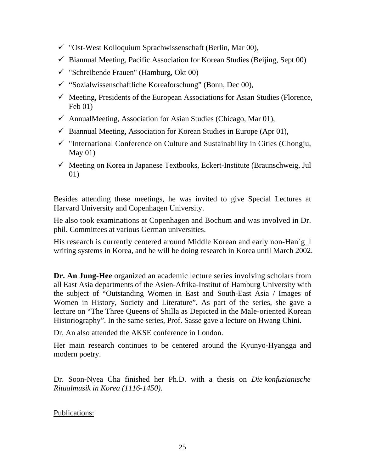- $\checkmark$  "Ost-West Kolloquium Sprachwissenschaft (Berlin, Mar 00),
- $\checkmark$  Biannual Meeting, Pacific Association for Korean Studies (Beijing, Sept 00)
- $\checkmark$  "Schreibende Frauen" (Hamburg, Okt 00)
- $\checkmark$  "Sozialwissenschaftliche Koreaforschung" (Bonn, Dec 00),
- $\checkmark$  Meeting, Presidents of the European Associations for Asian Studies (Florence, Feb 01)
- $\checkmark$  AnnualMeeting, Association for Asian Studies (Chicago, Mar 01),
- $\checkmark$  Biannual Meeting, Association for Korean Studies in Europe (Apr 01),
- $\checkmark$  "International Conference on Culture and Sustainability in Cities (Chongju, May 01)
- $\checkmark$  Meeting on Korea in Japanese Textbooks, Eckert-Institute (Braunschweig, Jul 01)

Besides attending these meetings, he was invited to give Special Lectures at Harvard University and Copenhagen University.

He also took examinations at Copenhagen and Bochum and was involved in Dr. phil. Committees at various German universities.

His research is currently centered around Middle Korean and early non-Han'g\_1 writing systems in Korea, and he will be doing research in Korea until March 2002.

**Dr. An Jung-Hee** organized an academic lecture series involving scholars from all East Asia departments of the Asien-Afrika-Institut of Hamburg University with the subject of "Outstanding Women in East and South-East Asia / Images of Women in History, Society and Literature". As part of the series, she gave a lecture on "The Three Queens of Shilla as Depicted in the Male-oriented Korean Historiography". In the same series, Prof. Sasse gave a lecture on Hwang Chini.

Dr. An also attended the AKSE conference in London.

Her main research continues to be centered around the Kyunyo-Hyangga and modern poetry.

Dr. Soon-Nyea Cha finished her Ph.D. with a thesis on *Die konfuzianische Ritualmusik in Korea (1116-1450)*.

Publications: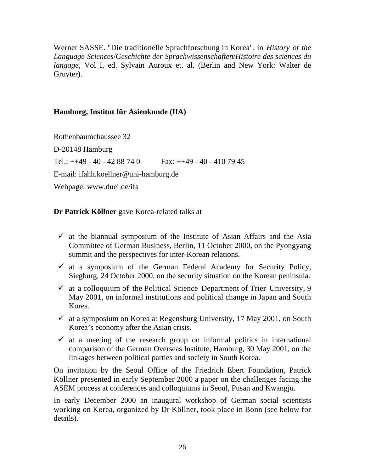Werner SASSE. "Die traditionelle Sprachforschung in Korea", in *History of the Language Sciences*/*Geschichte der Sprachwissenschaften*/*Histoire des sciences du langage*, Vol I, ed. Sylvain Auroux et. al. (Berlin and New York: Walter de Gruyter).

## **Hamburg, Institut für Asienkunde (IfA)**

Rothenbaumchaussee 32 D-20148 Hamburg Tel.:  $++49 - 40 - 4288740$  Fax:  $++49 - 40 - 4107945$ E-mail: ifahh.koellner@uni-hamburg.de Webpage: www.duei.de/ifa

**Dr Patrick Köllner** gave Korea-related talks at

- $\checkmark$  at the biannual symposium of the Institute of Asian Affairs and the Asia Committee of German Business, Berlin, 11 October 2000, on the Pyongyang summit and the perspectives for inter-Korean relations.
- $\checkmark$  at a symposium of the German Federal Academy for Security Policy, Siegburg, 24 October 2000, on the security situation on the Korean peninsula.
- $\checkmark$  at a colloquium of the Political Science Department of Trier University, 9 May 2001, on informal institutions and political change in Japan and South Korea.
- $\checkmark$  at a symposium on Korea at Regensburg University, 17 May 2001, on South Korea's economy after the Asian crisis.
- $\checkmark$  at a meeting of the research group on informal politics in international comparison of the German Overseas Institute, Hamburg, 30 May 2001, on the linkages between political parties and society in South Korea.

On invitation by the Seoul Office of the Friedrich Ebert Foundation, Patrick Köllner presented in early September 2000 a paper on the challenges facing the ASEM process at conferences and colloquiums in Seoul, Pusan and Kwangju.

In early December 2000 an inaugural workshop of German social scientists working on Korea, organized by Dr Köllner, took place in Bonn (see below for details).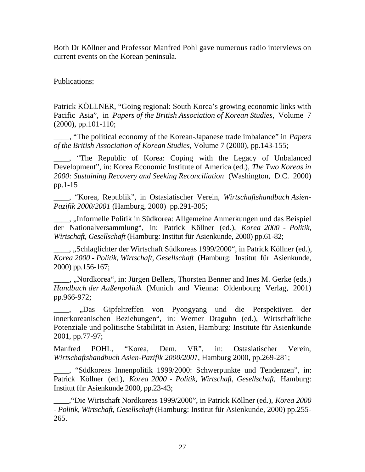Both Dr Köllner and Professor Manfred Pohl gave numerous radio interviews on current events on the Korean peninsula.

### Publications:

Patrick KÖLLNER, "Going regional: South Korea's growing economic links with Pacific Asia", in *Papers of the British Association of Korean Studies*, Volume 7 (2000), pp.101-110;

\_\_\_\_, "The political economy of the Korean-Japanese trade imbalance" in *Papers of the British Association of Korean Studies*, Volume 7 (2000), pp.143-155;

\_\_\_\_, "The Republic of Korea: Coping with the Legacy of Unbalanced Development", in: Korea Economic Institute of America (ed.), *The Two Koreas in 2000: Sustaining Recovery and Seeking Reconciliation* (Washington, D.C. 2000) pp.1-15

\_\_\_\_, "Korea, Republik", in Ostasiatischer Verein, *Wirtschaftshandbuch Asien-Pazifik 2000/2001* (Hamburg, 2000) pp.291-305;

<sub>\_\_\_\_</sub>, "Informelle Politik in Südkorea: Allgemeine Anmerkungen und das Beispiel der Nationalversammlung", in: Patrick Köllner (ed.), *Korea 2000 - Politik, Wirtschaft, Gesellschaft* (Hamburg: Institut für Asienkunde, 2000) pp.61-82;

\_\_\_\_, "Schlaglichter der Wirtschaft Südkoreas 1999/2000", in Patrick Köllner (ed.), *Korea 2000 - Politik, Wirtschaft, Gesellschaft* (Hamburg: Institut für Asienkunde, 2000) pp.156-167;

\_\_\_\_, "Nordkorea", in: Jürgen Bellers, Thorsten Benner and Ines M. Gerke (eds.) *Handbuch der Außenpolitik* (Munich and Vienna: Oldenbourg Verlag, 2001) pp.966-972;

\_\_\_\_, "Das Gipfeltreffen von Pyongyang und die Perspektiven der innerkoreanischen Beziehungen", in: Werner Draguhn (ed.), Wirtschaftliche Potenziale und politische Stabilität in Asien, Hamburg: Institute für Asienkunde 2001, pp.77-97;

Manfred POHL, "Korea, Dem. VR", in: Ostasiatischer Verein, *Wirtschaftshandbuch Asien-Pazifik 2000/2001*, Hamburg 2000, pp.269-281;

\_\_\_\_, "Südkoreas Innenpolitik 1999/2000: Schwerpunkte und Tendenzen", in: Patrick Köllner (ed.), *Korea 2000 - Politik, Wirtschaft, Gesellschaft*, Hamburg: Institut für Asienkunde 2000, pp.23-43;

\_\_\_\_,"Die Wirtschaft Nordkoreas 1999/2000", in Patrick Köllner (ed.), *Korea 2000 - Politik, Wirtschaft, Gesellschaft* (Hamburg: Institut für Asienkunde, 2000) pp.255- 265.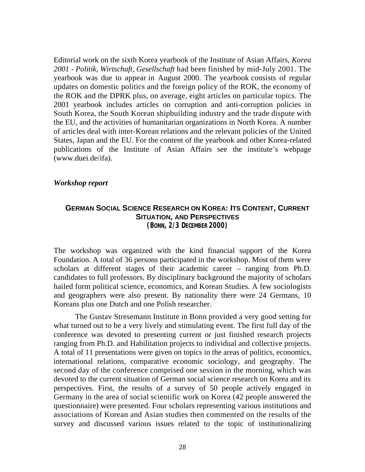Editorial work on the sixth Korea yearbook of the Institute of Asian Affairs, *Korea 2001 - Politik, Wirtschaft, Gesellschaft* had been finished by mid-July 2001. The yearbook was due to appear in August 2000. The yearbook consists of regular updates on domestic politics and the foreign policy of the ROK, the economy of the ROK and the DPRK plus, on average, eight articles on particular topics. The 2001 yearbook includes articles on corruption and anti-corruption policies in South Korea, the South Korean shipbuilding industry and the trade dispute with the EU, and the activities of humanitarian organizations in North Korea. A number of articles deal with inter-Korean relations and the relevant policies of the United States, Japan and the EU. For the content of the yearbook and other Korea-related publications of the Institute of Asian Affairs see the institute's webpage (www.duei.de/ifa).

#### *Workshop report*

#### **GERMAN SOCIAL SCIENCE RESEARCH ON KOREA: ITS CONTENT, CURRENT SITUATION, AND PERSPECTIVES (BONN, 2/3 DECEMBER 2000)**

The workshop was organized with the kind financial support of the Korea Foundation. A total of 36 persons participated in the workshop. Most of them were scholars at different stages of their academic career – ranging from Ph.D. candidates to full professors. By disciplinary background the majority of scholars hailed form political science, economics, and Korean Studies. A few sociologists and geographers were also present. By nationality there were 24 Germans, 10 Koreans plus one Dutch and one Polish researcher.

The Gustav Stresemann Institute in Bonn provided a very good setting for what turned out to be a very lively and stimulating event. The first full day of the conference was devoted to presenting current or just finished research projects ranging from Ph.D. and Habilitation projects to individual and collective projects. A total of 11 presentations were given on topics in the areas of politics, economics, international relations, comparative economic sociology, and geography. The second day of the conference comprised one session in the morning, which was devoted to the current situation of German social science research on Korea and its perspectives. First, the results of a survey of 50 people actively engaged in Germany in the area of social scientific work on Korea (42 people answered the questionnaire) were presented. Four scholars representing various institutions and associations of Korean and Asian studies then commented on the results of the survey and discussed various issues related to the topic of institutionalizing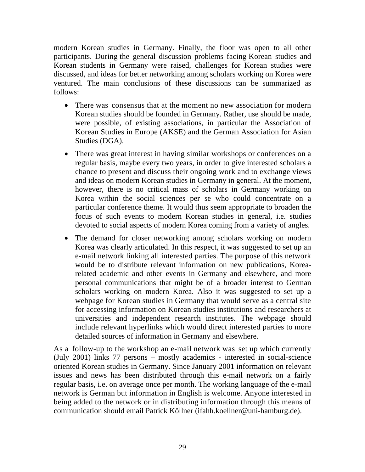modern Korean studies in Germany. Finally, the floor was open to all other participants. During the general discussion problems facing Korean studies and Korean students in Germany were raised, challenges for Korean studies were discussed, and ideas for better networking among scholars working on Korea were ventured. The main conclusions of these discussions can be summarized as follows:

- There was consensus that at the moment no new association for modern Korean studies should be founded in Germany. Rather, use should be made, were possible, of existing associations, in particular the Association of Korean Studies in Europe (AKSE) and the German Association for Asian Studies (DGA).
- There was great interest in having similar workshops or conferences on a regular basis, maybe every two years, in order to give interested scholars a chance to present and discuss their ongoing work and to exchange views and ideas on modern Korean studies in Germany in general. At the moment, however, there is no critical mass of scholars in Germany working on Korea within the social sciences per se who could concentrate on a particular conference theme. It would thus seem appropriate to broaden the focus of such events to modern Korean studies in general, i.e. studies devoted to social aspects of modern Korea coming from a variety of angles.
- The demand for closer networking among scholars working on modern Korea was clearly articulated. In this respect, it was suggested to set up an e-mail network linking all interested parties. The purpose of this network would be to distribute relevant information on new publications, Korearelated academic and other events in Germany and elsewhere, and more personal communications that might be of a broader interest to German scholars working on modern Korea. Also it was suggested to set up a webpage for Korean studies in Germany that would serve as a central site for accessing information on Korean studies institutions and researchers at universities and independent research institutes. The webpage should include relevant hyperlinks which would direct interested parties to more detailed sources of information in Germany and elsewhere.

As a follow-up to the workshop an e-mail network was set up which currently (July 2001) links 77 persons – mostly academics - interested in social-science oriented Korean studies in Germany. Since January 2001 information on relevant issues and news has been distributed through this e-mail network on a fairly regular basis, i.e. on average once per month. The working language of the e-mail network is German but information in English is welcome. Anyone interested in being added to the network or in distributing information through this means of communication should email Patrick Köllner (ifahh.koellner@uni-hamburg.de).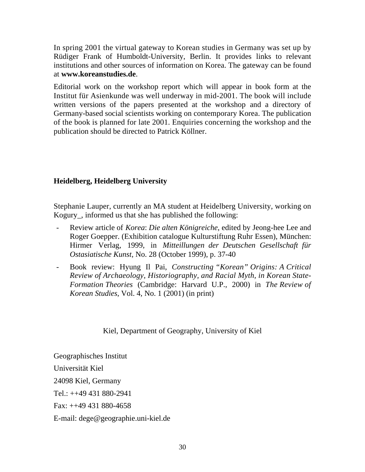In spring 2001 the virtual gateway to Korean studies in Germany was set up by Rüdiger Frank of Humboldt-University, Berlin. It provides links to relevant institutions and other sources of information on Korea. The gateway can be found at **www.koreanstudies.de**.

Editorial work on the workshop report which will appear in book form at the Institut für Asienkunde was well underway in mid-2001. The book will include written versions of the papers presented at the workshop and a directory of Germany-based social scientists working on contemporary Korea. The publication of the book is planned for late 2001. Enquiries concerning the workshop and the publication should be directed to Patrick Köllner.

## **Heidelberg, Heidelberg University**

Stephanie Lauper, currently an MA student at Heidelberg University, working on Kogury\_, informed us that she has published the following:

- Review article of *Korea*: *Die alten Königreiche*, edited by Jeong-hee Lee and Roger Goepper. (Exhibition catalogue Kulturstiftung Ruhr Essen), München: Hirmer Verlag, 1999, in *Mitteillungen der Deutschen Gesellschaft für Ostasiatische Kunst*, No. 28 (October 1999), p. 37-40
- Book review: Hyung Il Pai, *Constructing "Korean" Origins: A Critical Review of Archaeology, Historiography, and Racial Myth, in Korean State-Formation Theories* (Cambridge: Harvard U.P., 2000) in *The Review of Korean Studies*, Vol. 4, No. 1 (2001) (in print)

## Kiel, Department of Geography, University of Kiel

Geographisches Institut Universität Kiel 24098 Kiel, Germany Tel.: ++49 431 880-2941 Fax: ++49 431 880-4658 E-mail: dege@geographie.uni-kiel.de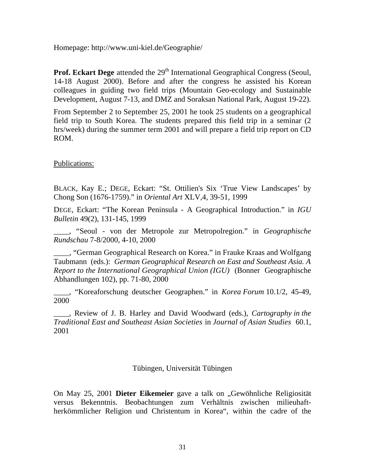Homepage: http://www.uni-kiel.de/Geographie/

**Prof. Eckart Dege** attended the 29<sup>th</sup> International Geographical Congress (Seoul, 14-18 August 2000). Before and after the congress he assisted his Korean colleagues in guiding two field trips (Mountain Geo-ecology and Sustainable Development, August 7-13, and DMZ and Soraksan National Park, August 19-22).

From September 2 to September 25, 2001 he took 25 students on a geographical field trip to South Korea. The students prepared this field trip in a seminar (2 hrs/week) during the summer term 2001 and will prepare a field trip report on CD ROM.

Publications:

BLACK, Kay E.; DEGE, Eckart: "St. Ottilien's Six 'True View Landscapes' by Chong Son (1676-1759)." in *Oriental Art* XLV,4, 39-51, 1999

DEGE, Eckart: "The Korean Peninsula - A Geographical Introduction." in *IGU Bulletin* 49(2), 131-145, 1999

\_\_\_\_, "Seoul - von der Metropole zur Metropolregion." in *Geographische Rundschau* 7-8/2000, 4-10, 2000

\_\_\_\_, "German Geographical Research on Korea." in Frauke Kraas and Wolfgang Taubmann (eds.): *German Geographical Research on East and Southeast Asia. A Report to the International Geographical Union (IGU)* (Bonner Geographische Abhandlungen 102), pp. 71-80, 2000

\_\_\_\_, "Koreaforschung deutscher Geographen." in *Korea Forum* 10.1/2, 45-49, 2000

\_\_\_\_, Review of J. B. Harley and David Woodward (eds.), *Cartography in the Traditional East and Southeast Asian Societies* in *Journal of Asian Studies* 60.1, 2001

### Tübingen, Universität Tübingen

On May 25, 2001 **Dieter Eikemeier** gave a talk on "Gewöhnliche Religiosität versus Bekenntnis. Beobachtungen zum Verhältnis zwischen milieuhaftherkömmlicher Religion und Christentum in Korea", within the cadre of the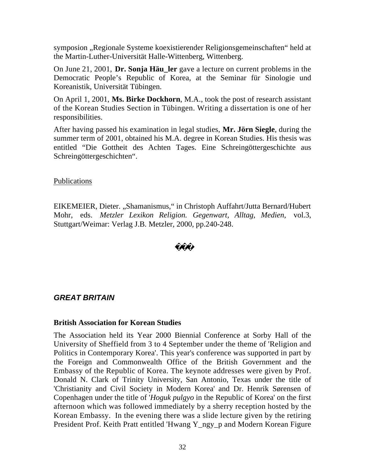symposion "Regionale Systeme koexistierender Religionsgemeinschaften" held at the Martin-Luther-Universität Halle-Wittenberg, Wittenberg.

On June 21, 2001, **Dr. Sonja Häu\_ler** gave a lecture on current problems in the Democratic People's Republic of Korea, at the Seminar für Sinologie und Koreanistik, Universität Tübingen.

On April 1, 2001, **Ms. Birke Dockhorn**, M.A., took the post of research assistant of the Korean Studies Section in Tübingen. Writing a dissertation is one of her responsibilities.

After having passed his examination in legal studies, **Mr. Jörn Siegle**, during the summer term of 2001, obtained his M.A. degree in Korean Studies. His thesis was entitled "Die Gottheit des Achten Tages. Eine Schreingöttergeschichte aus Schreingöttergeschichten".

### Publications

EIKEMEIER, Dieter. "Shamanismus," in Christoph Auffahrt/Jutta Bernard/Hubert Mohr, eds. *Metzler Lexikon Religion. Gegenwart, Alltag, Medien*, vol.3, Stuttgart/Weimar: Verlag J.B. Metzler, 2000, pp.240-248.

## *GREAT BRITAIN*

### **British Association for Korean Studies**

The Association held its Year 2000 Biennial Conference at Sorby Hall of the University of Sheffield from 3 to 4 September under the theme of 'Religion and Politics in Contemporary Korea'. This year's conference was supported in part by the Foreign and Commonwealth Office of the British Government and the Embassy of the Republic of Korea. The keynote addresses were given by Prof. Donald N. Clark of Trinity University, San Antonio, Texas under the title of 'Christianity and Civil Society in Modern Korea' and Dr. Henrik Sørensen of Copenhagen under the title of '*Hoguk pulgyo* in the Republic of Korea' on the first afternoon which was followed immediately by a sherry reception hosted by the Korean Embassy. In the evening there was a slide lecture given by the retiring President Prof. Keith Pratt entitled 'Hwang Y\_ngy\_p and Modern Korean Figure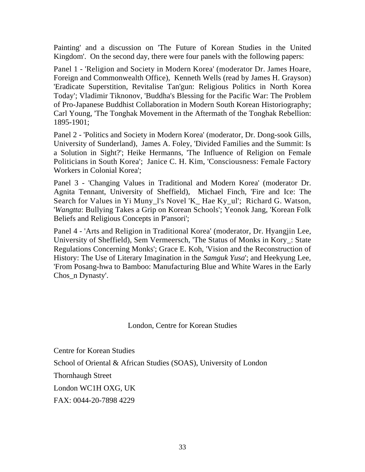Painting' and a discussion on 'The Future of Korean Studies in the United Kingdom'. On the second day, there were four panels with the following papers:

Panel 1 - 'Religion and Society in Modern Korea' (moderator Dr. James Hoare, Foreign and Commonwealth Office), Kenneth Wells (read by James H. Grayson) 'Eradicate Superstition, Revitalise Tan'gun: Religious Politics in North Korea Today'; Vladimir Tiknonov, 'Buddha's Blessing for the Pacific War: The Problem of Pro-Japanese Buddhist Collaboration in Modern South Korean Historiography; Carl Young, 'The Tonghak Movement in the Aftermath of the Tonghak Rebellion: 1895-1901;

Panel 2 - 'Politics and Society in Modern Korea' (moderator, Dr. Dong-sook Gills, University of Sunderland), James A. Foley, 'Divided Families and the Summit: Is a Solution in Sight?'; Heike Hermanns, 'The Influence of Religion on Female Politicians in South Korea'; Janice C. H. Kim, 'Consciousness: Female Factory Workers in Colonial Korea';

Panel 3 - 'Changing Values in Traditional and Modern Korea' (moderator Dr. Agnita Tennant, University of Sheffield), Michael Finch, 'Fire and Ice: The Search for Values in Yi Muny 1's Novel 'K Hae Ky ul'; Richard G. Watson, '*Wangtta*: Bullying Takes a Grip on Korean Schools'; Yeonok Jang, 'Korean Folk Beliefs and Religious Concepts in P'ansori';

Panel 4 - 'Arts and Religion in Traditional Korea' (moderator, Dr. Hyangjin Lee, University of Sheffield), Sem Vermeersch, 'The Status of Monks in Kory\_: State Regulations Concerning Monks'; Grace E. Koh, 'Vision and the Reconstruction of History: The Use of Literary Imagination in the *Samguk Yusa*'; and Heekyung Lee, 'From Posang-hwa to Bamboo: Manufacturing Blue and White Wares in the Early Chos\_n Dynasty'.

London, Centre for Korean Studies

Centre for Korean Studies

School of Oriental & African Studies (SOAS), University of London

Thornhaugh Street

London WC1H OXG, UK

FAX: 0044-20-7898 4229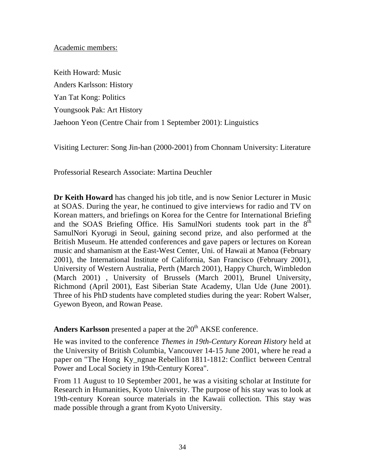#### Academic members:

Keith Howard: Music Anders Karlsson: History Yan Tat Kong: Politics Youngsook Pak: Art History Jaehoon Yeon (Centre Chair from 1 September 2001): Linguistics

Visiting Lecturer: Song Jin-han (2000-2001) from Chonnam University: Literature

Professorial Research Associate: Martina Deuchler

**Dr Keith Howard** has changed his job title, and is now Senior Lecturer in Music at SOAS. During the year, he continued to give interviews for radio and TV on Korean matters, and briefings on Korea for the Centre for International Briefing and the SOAS Briefing Office. His SamulNori students took part in the  $8^{\text{th}}$ SamulNori Kyorugi in Seoul, gaining second prize, and also performed at the British Museum. He attended conferences and gave papers or lectures on Korean music and shamanism at the East-West Center, Uni. of Hawaii at Manoa (February 2001), the International Institute of California, San Francisco (February 2001), University of Western Australia, Perth (March 2001), Happy Church, Wimbledon (March 2001) , University of Brussels (March 2001), Brunel University, Richmond (April 2001), East Siberian State Academy, Ulan Ude (June 2001). Three of his PhD students have completed studies during the year: Robert Walser, Gyewon Byeon, and Rowan Pease.

**Anders Karlsson** presented a paper at the 20<sup>th</sup> AKSE conference.

He was invited to the conference *Themes in 19th-Century Korean History* held at the University of British Columbia, Vancouver 14-15 June 2001, where he read a paper on "The Hong Ky\_ngnae Rebellion 1811-1812: Conflict between Central Power and Local Society in 19th-Century Korea".

From 11 August to 10 September 2001, he was a visiting scholar at Institute for Research in Humanities, Kyoto University. The purpose of his stay was to look at 19th-century Korean source materials in the Kawaii collection. This stay was made possible through a grant from Kyoto University.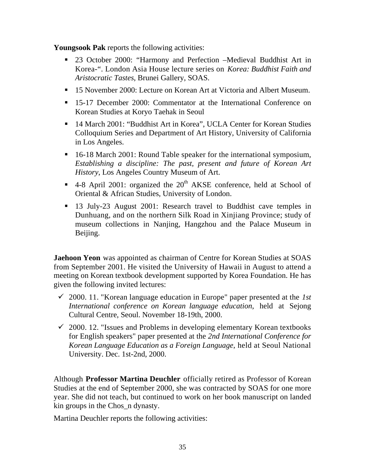**Youngsook Pak** reports the following activities:

- **23 October 2000: "Harmony and Perfection –Medieval Buddhist Art in** Korea-". London Asia House lecture series on *Korea: Buddhist Faith and Aristocratic Tastes*, Brunei Gallery, SOAS.
- **15 November 2000: Lecture on Korean Art at Victoria and Albert Museum.**
- ß 15-17 December 2000: Commentator at the International Conference on Korean Studies at Koryo Taehak in Seoul
- 14 March 2001: "Buddhist Art in Korea", UCLA Center for Korean Studies Colloquium Series and Department of Art History, University of California in Los Angeles.
- 16-18 March 2001: Round Table speaker for the international symposium, *Establishing a discipline: The past, present and future of Korean Art History*, Los Angeles Country Museum of Art.
- $\blacksquare$  4-8 April 2001: organized the 20<sup>th</sup> AKSE conference, held at School of Oriental & African Studies, University of London.
- **13 July-23 August 2001: Research travel to Buddhist cave temples in** Dunhuang, and on the northern Silk Road in Xinjiang Province; study of museum collections in Nanjing, Hangzhou and the Palace Museum in Beijing.

**Jaehoon Yeon** was appointed as chairman of Centre for Korean Studies at SOAS from September 2001. He visited the University of Hawaii in August to attend a meeting on Korean textbook development supported by Korea Foundation. He has given the following invited lectures:

- $\checkmark$  2000. 11. "Korean language education in Europe" paper presented at the *1st International conference on Korean language education*, held at Sejong Cultural Centre, Seoul. November 18-19th, 2000.
- $\checkmark$  2000. 12. "Issues and Problems in developing elementary Korean textbooks for English speakers" paper presented at the *2nd International Conference for Korean Language Education as a Foreign Language*, held at Seoul National University. Dec. 1st-2nd, 2000.

Although **Professor Martina Deuchler** officially retired as Professor of Korean Studies at the end of September 2000, she was contracted by SOAS for one more year. She did not teach, but continued to work on her book manuscript on landed kin groups in the Chos\_n dynasty.

Martina Deuchler reports the following activities: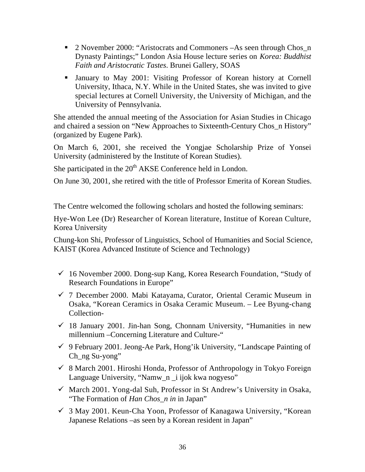- **2** November 2000: "Aristocrats and Commoners –As seen through Chos n Dynasty Paintings;" London Asia House lecture series on *Korea: Buddhist Faith and Aristocratic Tastes*. Brunei Gallery, SOAS
- Inuary to May 2001: Visiting Professor of Korean history at Cornell University, Ithaca, N.Y. While in the United States, she was invited to give special lectures at Cornell University, the University of Michigan, and the University of Pennsylvania.

She attended the annual meeting of the Association for Asian Studies in Chicago and chaired a session on "New Approaches to Sixteenth-Century Chos\_n History" (organized by Eugene Park).

On March 6, 2001, she received the Yongjae Scholarship Prize of Yonsei University (administered by the Institute of Korean Studies).

She participated in the  $20<sup>th</sup> AKSE$  Conference held in London.

On June 30, 2001, she retired with the title of Professor Emerita of Korean Studies.

The Centre welcomed the following scholars and hosted the following seminars:

Hye-Won Lee (Dr) Researcher of Korean literature, Institue of Korean Culture, Korea University

Chung-kon Shi, Professor of Linguistics, School of Humanities and Social Science, KAIST (Korea Advanced Institute of Science and Technology)

- $\checkmark$  16 November 2000. Dong-sup Kang, Korea Research Foundation, "Study of Research Foundations in Europe"
- $\checkmark$  7 December 2000. Mabi Katayama, Curator, Oriental Ceramic Museum in Osaka, "Korean Ceramics in Osaka Ceramic Museum. – Lee Byung-chang Collection-
- $\checkmark$  18 January 2001. Jin-han Song, Chonnam University, "Humanities in new millennium –Concerning Literature and Culture-"
- $\checkmark$  9 February 2001. Jeong-Ae Park, Hong'ik University, "Landscape Painting of Ch\_ng Su-yong"
- $\checkmark$  8 March 2001. Hiroshi Honda, Professor of Anthropology in Tokyo Foreign Language University, "Namw\_n \_i ijok kwa nogyeso"
- ¸ March 2001. Yong-dal Suh, Professor in St Andrew's University in Osaka, "The Formation of *Han Chos\_n in* in Japan"
- $\checkmark$  3 May 2001. Keun-Cha Yoon, Professor of Kanagawa University, "Korean Japanese Relations –as seen by a Korean resident in Japan"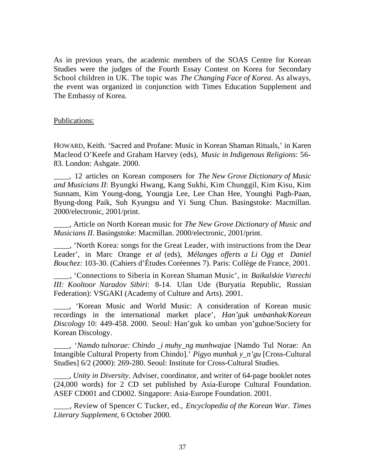As in previous years, the academic members of the SOAS Centre for Korean Studies were the judges of the Fourth Essay Contest on Korea for Secondary School children in UK. The topic was *The Changing Face of Korea*. As always, the event was organized in conjunction with Times Education Supplement and The Embassy of Korea.

#### Publications:

HOWARD, Keith. 'Sacred and Profane: Music in Korean Shaman Rituals,' in Karen Macleod O'Keefe and Graham Harvey (eds), *Music in Indigenous Religions*: 56- 83. London: Ashgate. 2000.

\_\_\_\_, 12 articles on Korean composers for *The New Grove Dictionary of Music and Musicians II*: Byungki Hwang, Kang Sukhi, Kim Chunggil, Kim Kisu, Kim Sunnam, Kim Young-dong, Youngja Lee, Lee Chan Hee, Younghi Pagh-Paan, Byung-dong Paik, Suh Kyungsu and Yi Sung Chun. Basingstoke: Macmillan. 2000/electronic, 2001/print.

\_\_\_\_, Article on North Korean music for *The New Grove Dictionary of Music and Musicians II*. Basingstoke: Macmillan. 2000/electronic, 2001/print.

\_\_\_\_, 'North Korea: songs for the Great Leader, with instructions from the Dear Leader', in Marc Orange *et al* (eds), *Mélanges offerts a Li Ogg et Daniel Bouchez:* 103-30. (Cahiers d'Études Coréennes 7). Paris: Collège de France, 2001.

\_\_\_\_, 'Connections to Siberia in Korean Shaman Music', in *Baikalskie Vstrechi III: Kooltoor Naradov Sibiri*: 8-14. Ulan Ude (Buryatia Republic, Russian Federation): VSGAKI (Academy of Culture and Arts). 2001.

\_\_\_\_, 'Korean Music and World Music: A consideration of Korean music recordings in the international market place', *Han'guk umbanhak/Korean Discology* 10: 449-458. 2000. Seoul: Han'guk ko umban yon'guhoe/Society for Korean Discology.

\_\_\_\_, '*Namdo tulnorae: Chindo \_i muhy\_ng munhwajae* [Namdo Tul Norae: An Intangible Cultural Property from Chindo].' *Pigyo munhak y\_n'gu* [Cross-Cultural Studies] 6/2 (2000): 269-280. Seoul: Institute for Cross-Cultural Studies.

\_\_\_\_, *Unity in Diversity*. Adviser, coordinator, and writer of 64-page booklet notes (24,000 words) for 2 CD set published by Asia-Europe Cultural Foundation. ASEF CD001 and CD002. Singapore: Asia-Europe Foundation. 2001.

\_\_\_\_, Review of Spencer C Tucker, ed., *Encyclopedia of the Korean War*. *Times Literary Supplement*, 6 October 2000.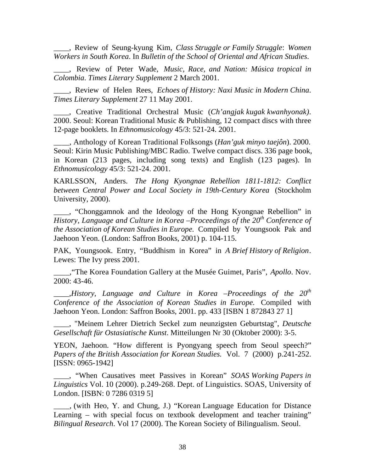\_\_\_\_, Review of Seung-kyung Kim, *Class Struggle or Family Struggle*: *Women Workers in South Korea*. In *Bulletin of the School of Oriental and African Studies*.

\_\_\_\_, Review of Peter Wade, *Music, Race, and Nation: Música tropical in Colombia*. *Times Literary Supplement* 2 March 2001.

\_\_\_\_, Review of Helen Rees, *Echoes of History: Naxi Music in Modern China*. *Times Literary Supplement* 27 11 May 2001.

\_\_\_\_, Creative Traditional Orchestral Music (*Ch'angjak kugak kwanhyonak)*. 2000. Seoul: Korean Traditional Music & Publishing, 12 compact discs with three 12-page booklets. In *Ethnomusicology* 45/3: 521-24. 2001.

\_\_\_\_, Anthology of Korean Traditional Folksongs (*Han'guk minyo taejôn*). 2000. Seoul: Kirin Music Publishing/MBC Radio. Twelve compact discs. 336 page book, in Korean (213 pages, including song texts) and English (123 pages). In *Ethnomusicology* 45/3: 521-24. 2001.

KARLSSON, Anders. *The Hong Kyongnae Rebellion 1811-1812: Conflict between Central Power and Local Society in 19th-Century Korea* (Stockholm University, 2000).

\_\_\_\_, "Chonggamnok and the Ideology of the Hong Kyongnae Rebellion" in *History, Language and Culture in Korea –Proceedings of the 20th Conference of the Association of Korean Studies in Europe.* Compiled by Youngsook Pak and Jaehoon Yeon. (London: Saffron Books, 2001) p. 104-115.

PAK, Youngsook. Entry, "Buddhism in Korea" in *A Brief History of Religion*. Lewes: The Ivy press 2001.

\_\_\_\_,"The Korea Foundation Gallery at the Musée Guimet, Paris", *Apollo*. Nov. 2000: 43-46.

*\_\_\_\_,History, Language and Culture in Korea –Proceedings of the 20th Conference of the Association of Korean Studies in Europe.* Compiled with Jaehoon Yeon. London: Saffron Books, 2001. pp. 433 [ISBN 1 872843 27 1]

\_\_\_\_, "Meinem Lehrer Dietrich Seckel zum neunzigsten Geburtstag", *Deutsche Gesellschaft für Ostasiatische Kunst*. Mitteilungen Nr 30 (Oktober 2000): 3-5.

YEON, Jaehoon. "How different is Pyongyang speech from Seoul speech?" *Papers of the British Association for Korean Studies.* Vol. 7 (2000) p.241-252. [ISSN: 0965-1942]

\_\_\_\_, "When Causatives meet Passives in Korean" *SOAS Working Papers in Linguistics* Vol. 10 (2000). p.249-268. Dept. of Linguistics. SOAS, University of London. [ISBN: 0 7286 0319 5]

\_\_\_\_, (with Heo, Y. and Chung, J.) "Korean Language Education for Distance Learning – with special focus on textbook development and teacher training" *Bilingual Research*. Vol 17 (2000). The Korean Society of Bilingualism. Seoul.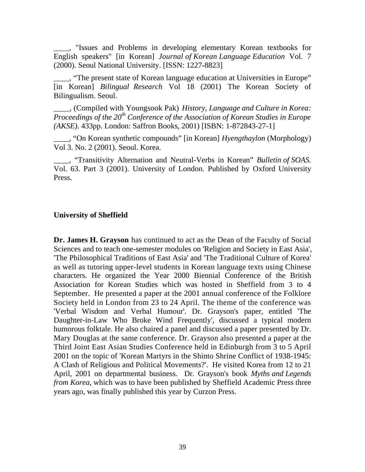\_\_\_\_, "Issues and Problems in developing elementary Korean textbooks for English speakers" [in Korean] *Journal of Korean Language Education* Vol. 7 (2000). Seoul National University. [ISSN: 1227-8823]

\_\_\_\_, "The present state of Korean language education at Universities in Europe" [in Korean] *Bilingual Research* Vol 18 (2001) The Korean Society of Bilingualism. Seoul.

\_\_\_\_, (Compiled with Youngsook Pak) *History, Language and Culture in Korea: Proceedings of the 20th Conference of the Association of Korean Studies in Europe (AKSE)*. 433pp. London: Saffron Books, 2001) [ISBN: 1-872843-27-1]

\_\_\_\_, "On Korean synthetic compounds" [in Korean] *Hyengthaylon* (Morphology) Vol 3. No. 2 (2001). Seoul. Korea.

\_\_\_\_, "Transitivity Alternation and Neutral-Verbs in Korean" *Bulletin of SOAS.* Vol. 63. Part 3 (2001). University of London. Published by Oxford University Press.

### **University of Sheffield**

**Dr. James H. Grayson** has continued to act as the Dean of the Faculty of Social Sciences and to teach one-semester modules on 'Religion and Society in East Asia', 'The Philosophical Traditions of East Asia' and 'The Traditional Culture of Korea' as well as tutoring upper-level students in Korean language texts using Chinese characters. He organized the Year 2000 Biennial Conference of the British Association for Korean Studies which was hosted in Sheffield from 3 to 4 September. He presented a paper at the 2001 annual conference of the Folklore Society held in London from 23 to 24 April. The theme of the conference was 'Verbal Wisdom and Verbal Humour'. Dr. Grayson's paper, entitled 'The Daughter-in-Law Who Broke Wind Frequently', discussed a typical modern humorous folktale. He also chaired a panel and discussed a paper presented by Dr. Mary Douglas at the same conference. Dr. Grayson also presented a paper at the Third Joint East Asian Studies Conference held in Edinburgh from 3 to 5 April 2001 on the topic of 'Korean Martyrs in the Shinto Shrine Conflict of 1938-1945: A Clash of Religious and Political Movements?'. He visited Korea from 12 to 21 April, 2001 on departmental business. Dr. Grayson's book *Myths and Legends from Korea*, which was to have been published by Sheffield Academic Press three years ago, was finally published this year by Curzon Press.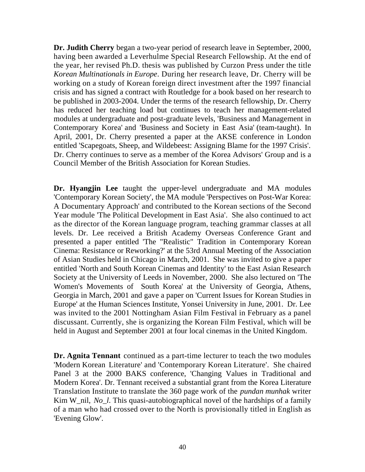**Dr. Judith Cherry** began a two-year period of research leave in September, 2000, having been awarded a Leverhulme Special Research Fellowship. At the end of the year, her revised Ph.D. thesis was published by Curzon Press under the title *Korean Multinationals in Europe*. During her research leave, Dr. Cherry will be working on a study of Korean foreign direct investment after the 1997 financial crisis and has signed a contract with Routledge for a book based on her research to be published in 2003-2004. Under the terms of the research fellowship, Dr. Cherry has reduced her teaching load but continues to teach her management-related modules at undergraduate and post-graduate levels, 'Business and Management in Contemporary Korea' and 'Business and Society in East Asia' (team-taught). In April, 2001, Dr. Cherry presented a paper at the AKSE conference in London entitled 'Scapegoats, Sheep, and Wildebeest: Assigning Blame for the 1997 Crisis'. Dr. Cherry continues to serve as a member of the Korea Advisors' Group and is a Council Member of the British Association for Korean Studies.

**Dr. Hyangjin Lee** taught the upper-level undergraduate and MA modules 'Contemporary Korean Society', the MA module 'Perspectives on Post-War Korea: A Documentary Approach' and contributed to the Korean sections of the Second Year module 'The Political Development in East Asia'. She also continued to act as the director of the Korean language program, teaching grammar classes at all levels. Dr. Lee received a British Academy Overseas Conference Grant and presented a paper entitled 'The "Realistic" Tradition in Contemporary Korean Cinema: Resistance or Reworking?' at the 53rd Annual Meeting of the Association of Asian Studies held in Chicago in March, 2001. She was invited to give a paper entitled 'North and South Korean Cinemas and Identity' to the East Asian Research Society at the University of Leeds in November, 2000. She also lectured on 'The Women's Movements of South Korea' at the University of Georgia, Athens, Georgia in March, 2001 and gave a paper on 'Current Issues for Korean Studies in Europe' at the Human Sciences Institute, Yonsei University in June, 2001. Dr. Lee was invited to the 2001 Nottingham Asian Film Festival in February as a panel discussant. Currently, she is organizing the Korean Film Festival, which will be held in August and September 2001 at four local cinemas in the United Kingdom.

**Dr. Agnita Tennant** continued as a part-time lecturer to teach the two modules 'Modern Korean Literature' and 'Contemporary Korean Literature'. She chaired Panel 3 at the 2000 BAKS conference, 'Changing Values in Traditional and Modern Korea'. Dr. Tennant received a substantial grant from the Korea Literature Translation Institute to translate the 360 page work of the *pundan munhak* writer Kim W\_nil, *No\_l*. This quasi-autobiographical novel of the hardships of a family of a man who had crossed over to the North is provisionally titled in English as 'Evening Glow'.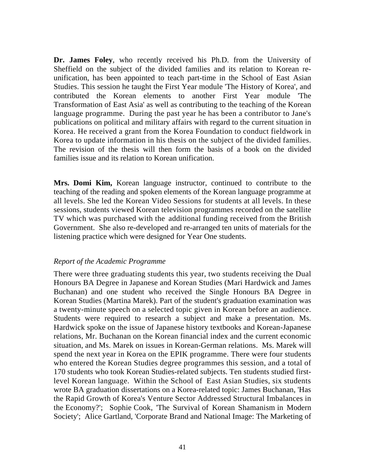**Dr. James Foley**, who recently received his Ph.D. from the University of Sheffield on the subject of the divided families and its relation to Korean reunification, has been appointed to teach part-time in the School of East Asian Studies. This session he taught the First Year module 'The History of Korea', and contributed the Korean elements to another First Year module 'The Transformation of East Asia' as well as contributing to the teaching of the Korean language programme. During the past year he has been a contributor to Jane's publications on political and military affairs with regard to the current situation in Korea. He received a grant from the Korea Foundation to conduct fieldwork in Korea to update information in his thesis on the subject of the divided families. The revision of the thesis will then form the basis of a book on the divided families issue and its relation to Korean unification.

**Mrs. Domi Kim,** Korean language instructor, continued to contribute to the teaching of the reading and spoken elements of the Korean language programme at all levels. She led the Korean Video Sessions for students at all levels. In these sessions, students viewed Korean television programmes recorded on the satellite TV which was purchased with the additional funding received from the British Government. She also re-developed and re-arranged ten units of materials for the listening practice which were designed for Year One students.

#### *Report of the Academic Programme*

There were three graduating students this year, two students receiving the Dual Honours BA Degree in Japanese and Korean Studies (Mari Hardwick and James Buchanan) and one student who received the Single Honours BA Degree in Korean Studies (Martina Marek). Part of the student's graduation examination was a twenty-minute speech on a selected topic given in Korean before an audience. Students were required to research a subject and make a presentation. Ms. Hardwick spoke on the issue of Japanese history textbooks and Korean-Japanese relations, Mr. Buchanan on the Korean financial index and the current economic situation, and Ms. Marek on issues in Korean-German relations. Ms. Marek will spend the next year in Korea on the EPIK programme. There were four students who entered the Korean Studies degree programmes this session, and a total of 170 students who took Korean Studies-related subjects. Ten students studied firstlevel Korean language. Within the School of East Asian Studies, six students wrote BA graduation dissertations on a Korea-related topic: James Buchanan, 'Has the Rapid Growth of Korea's Venture Sector Addressed Structural Imbalances in the Economy?'; Sophie Cook, 'The Survival of Korean Shamanism in Modern Society'; Alice Gartland, 'Corporate Brand and National Image: The Marketing of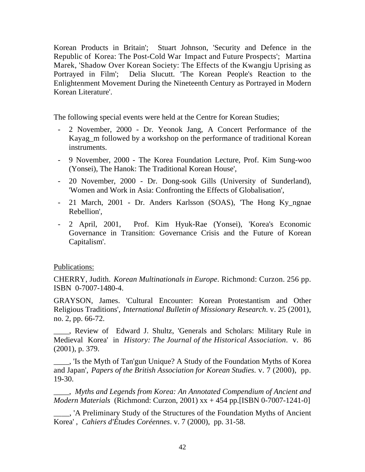Korean Products in Britain'; Stuart Johnson, 'Security and Defence in the Republic of Korea: The Post-Cold War Impact and Future Prospects'; Martina Marek, 'Shadow Over Korean Society: The Effects of the Kwangju Uprising as Portrayed in Film'; Delia Slucutt. 'The Korean People's Reaction to the Enlightenment Movement During the Nineteenth Century as Portrayed in Modern Korean Literature'.

The following special events were held at the Centre for Korean Studies;

- 2 November, 2000 Dr. Yeonok Jang, A Concert Performance of the Kayag m followed by a workshop on the performance of traditional Korean instruments.
- 9 November, 2000 The Korea Foundation Lecture, Prof. Kim Sung-woo (Yonsei), The Hanok: The Traditional Korean House',
- 20 November, 2000 Dr. Dong-sook Gills (University of Sunderland), 'Women and Work in Asia: Confronting the Effects of Globalisation',
- 21 March, 2001 Dr. Anders Karlsson (SOAS), 'The Hong Ky\_ngnae Rebellion',
- 2 April, 2001, Prof. Kim Hyuk-Rae (Yonsei), 'Korea's Economic Governance in Transition: Governance Crisis and the Future of Korean Capitalism'.

### Publications:

CHERRY, Judith. *Korean Multinationals in Europe*. Richmond: Curzon. 256 pp. ISBN 0-7007-1480-4.

GRAYSON, James. 'Cultural Encounter: Korean Protestantism and Other Religious Traditions', *International Bulletin of Missionary Research*. v. 25 (2001), no. 2, pp. 66-72.

\_\_\_\_, Review of Edward J. Shultz, 'Generals and Scholars: Military Rule in Medieval Korea' in *History: The Journal of the Historical Association*. v. 86 (2001), p. 379.

\_\_\_\_, 'Is the Myth of Tan'gun Unique? A Study of the Foundation Myths of Korea and Japan', *Papers of the British Association for Korean Studies*. v. 7 (2000), pp. 19-30.

\_\_\_\_, *Myths and Legends from Korea: An Annotated Compendium of Ancient and Modern Materials* (Richmond: Curzon, 2001) xx + 454 pp.[ISBN 0-7007-1241-0]

\_\_\_\_, 'A Preliminary Study of the Structures of the Foundation Myths of Ancient Korea' , *Cahiers d'Études Coréennes*. v. 7 (2000), pp. 31-58.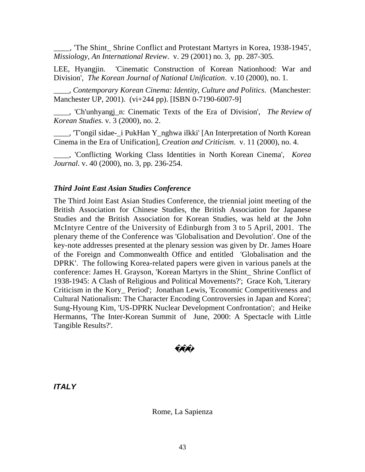\_\_\_\_, 'The Shint\_ Shrine Conflict and Protestant Martyrs in Korea, 1938-1945', *Missiology, An International Review*. v. 29 (2001) no. 3, pp. 287-305.

LEE, Hyangjin. 'Cinematic Construction of Korean Nationhood: War and Division', *The Korean Journal of National Unification*. v.10 (2000), no. 1.

\_\_\_\_, *Contemporary Korean Cinema: Identity, Culture and Politics*. (Manchester: Manchester UP, 2001). (vi+244 pp). [ISBN 0-7190-6007-9]

\_\_\_\_, 'Ch'unhyangj\_n: Cinematic Texts of the Era of Division', *The Review of Korean Studies*. v. 3 (2000), no. 2.

\_\_\_\_, 'T'ongil sidae-\_i PukHan Y\_nghwa ilkki' [An Interpretation of North Korean Cinema in the Era of Unification], *Creation and Criticism*. v. 11 (2000), no. 4.

\_\_\_\_, 'Conflicting Working Class Identities in North Korean Cinema', *Korea Journal*. v. 40 (2000), no. 3, pp. 236-254.

### *Third Joint East Asian Studies Conference*

The Third Joint East Asian Studies Conference, the triennial joint meeting of the British Association for Chinese Studies, the British Association for Japanese Studies and the British Association for Korean Studies, was held at the John McIntyre Centre of the University of Edinburgh from 3 to 5 April, 2001. The plenary theme of the Conference was 'Globalisation and Devolution'. One of the key-note addresses presented at the plenary session was given by Dr. James Hoare of the Foreign and Commonwealth Office and entitled 'Globalisation and the DPRK'. The following Korea-related papers were given in various panels at the conference: James H. Grayson, 'Korean Martyrs in the Shint\_ Shrine Conflict of 1938-1945: A Clash of Religious and Political Movements?'; Grace Koh, 'Literary Criticism in the Kory\_ Period'; Jonathan Lewis, 'Economic Competitiveness and Cultural Nationalism: The Character Encoding Controversies in Japan and Korea'; Sung-Hyoung Kim, 'US-DPRK Nuclear Development Confrontation'; and Heike Hermanns, 'The Inter-Korean Summit of June, 2000: A Spectacle with Little Tangible Results?'.

*ITALY*

Rome, La Sapienza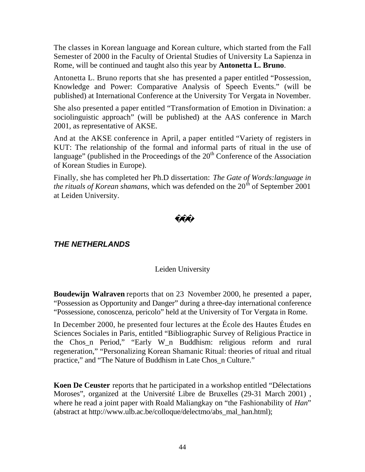The classes in Korean language and Korean culture, which started from the Fall Semester of 2000 in the Faculty of Oriental Studies of University La Sapienza in Rome, will be continued and taught also this year by **Antonetta L. Bruno**.

Antonetta L. Bruno reports that she has presented a paper entitled "Possession, Knowledge and Power: Comparative Analysis of Speech Events." (will be published) at International Conference at the University Tor Vergata in November.

She also presented a paper entitled "Transformation of Emotion in Divination: a sociolinguistic approach" (will be published) at the AAS conference in March 2001, as representative of AKSE.

And at the AKSE conference in April, a paper entitled "Variety of registers in KUT: The relationship of the formal and informal parts of ritual in the use of language" (published in the Proceedings of the  $20<sup>th</sup>$  Conference of the Association of Korean Studies in Europe).

Finally, she has completed her Ph.D dissertation: *The Gate of Words:language in the rituals of Korean shamans*, which was defended on the  $20<sup>th</sup>$  of September 2001 at Leiden University.

## *THE NETHERLANDS*

### Leiden University

**Boudewijn Walraven** reports that on 23 November 2000, he presented a paper, "Possession as Opportunity and Danger" during a three-day international conference "Possessione, conoscenza, pericolo" held at the University of Tor Vergata in Rome.

In December 2000, he presented four lectures at the École des Hautes Études en Sciences Sociales in Paris, entitled "Bibliographic Survey of Religious Practice in the Chos\_n Period," "Early W\_n Buddhism: religious reform and rural regeneration," "Personalizing Korean Shamanic Ritual: theories of ritual and ritual practice," and "The Nature of Buddhism in Late Chos\_n Culture."

**Koen De Ceuster** reports that he participated in a workshop entitled "Délectations Moroses", organized at the Université Libre de Bruxelles (29-31 March 2001) , where he read a joint paper with Roald Maliangkay on "the Fashionability of *Han*" (abstract at http://www.ulb.ac.be/colloque/delectmo/abs\_mal\_han.html);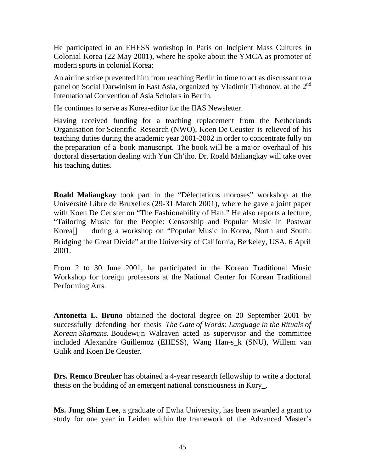He participated in an EHESS workshop in Paris on Incipient Mass Cultures in Colonial Korea (22 May 2001), where he spoke about the YMCA as promoter of modern sports in colonial Korea;

An airline strike prevented him from reaching Berlin in time to act as discussant to a panel on Social Darwinism in East Asia, organized by Vladimir Tikhonov, at the 2<sup>nd</sup> International Convention of Asia Scholars in Berlin.

He continues to serve as Korea-editor for the IIAS Newsletter.

Having received funding for a teaching replacement from the Netherlands Organisation for Scientific Research (NWO), Koen De Ceuster is relieved of his teaching duties during the academic year 2001-2002 in order to concentrate fully on the preparation of a book manuscript. The book will be a major overhaul of his doctoral dissertation dealing with Yun Ch'iho. Dr. Roald Maliangkay will take over his teaching duties.

**Roald Maliangkay** took part in the "Délectations moroses" workshop at the Université Libre de Bruxelles (29-31 March 2001), where he gave a joint paper with Koen De Ceuster on "The Fashionability of Han." He also reports a lecture, "Tailoring Music for the People: Censorship and Popular Music in Postwar Korea during a workshop on "Popular Music in Korea, North and South: Bridging the Great Divide" at the University of California, Berkeley, USA, 6 April 2001.

From 2 to 30 June 2001, he participated in the Korean Traditional Music Workshop for foreign professors at the National Center for Korean Traditional Performing Arts.

**Antonetta L. Bruno** obtained the doctoral degree on 20 September 2001 by successfully defending her thesis *The Gate of Words: Language in the Rituals of Korean Shamans.* Boudewijn Walraven acted as supervisor and the committee included Alexandre Guillemoz (EHESS), Wang Han-s\_k (SNU), Willem van Gulik and Koen De Ceuster.

**Drs. Remco Breuker** has obtained a 4-year research fellowship to write a doctoral thesis on the budding of an emergent national consciousness in Kory\_.

**Ms. Jung Shim Lee**, a graduate of Ewha University, has been awarded a grant to study for one year in Leiden within the framework of the Advanced Master's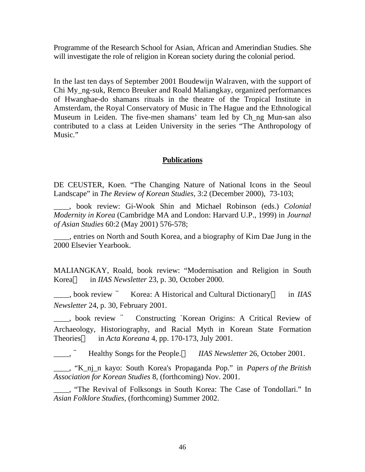Programme of the Research School for Asian, African and Amerindian Studies. She will investigate the role of religion in Korean society during the colonial period.

In the last ten days of September 2001 Boudewijn Walraven, with the support of Chi My\_ng-suk, Remco Breuker and Roald Maliangkay, organized performances of Hwanghae-do shamans rituals in the theatre of the Tropical Institute in Amsterdam, the Royal Conservatory of Music in The Hague and the Ethnological Museum in Leiden. The five-men shamans' team led by Ch\_ng Mun-san also contributed to a class at Leiden University in the series "The Anthropology of Music."

### **Publications**

DE CEUSTER, Koen. "The Changing Nature of National Icons in the Seoul Landscape" in *The Review of Korean Studies*, 3:2 (December 2000), 73-103;

\_\_\_\_, book review: Gi-Wook Shin and Michael Robinson (eds.) *Colonial Modernity in Korea* (Cambridge MA and London: Harvard U.P., 1999) in *Journal of Asian Studies* 60:2 (May 2001) 576-578;

\_\_\_\_, entries on North and South Korea, and a biography of Kim Dae Jung in the 2000 Elsevier Yearbook.

MALIANGKAY, Roald, book review: "Modernisation and Religion in South Korea in *IIAS Newsletter* 23, p. 30, October 2000.

\_\_\_\_, book review ¨ Korea: A Historical and Cultural Dictionary in *IIAS Newsletter* 24, p. 30, February 2001.

\_\_\_\_, book review ¨ Constructing `Korean Origins: A Critical Review of Archaeology, Historiography, and Racial Myth in Korean State Formation Theories in *Acta Koreana* 4, pp. 170-173, July 2001.

Healthy Songs for the People. *IIAS Newsletter* 26, October 2001.

\_\_\_\_, "K\_nj\_n kayo: South Korea's Propaganda Pop." in *Papers of the British Association for Korean Studies* 8, (forthcoming) Nov. 2001.

\_\_\_\_, "The Revival of Folksongs in South Korea: The Case of Tondollari." In *Asian Folklore Studies*, (forthcoming) Summer 2002.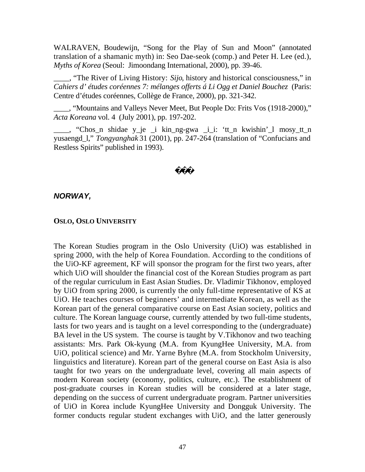WALRAVEN, Boudewijn, "Song for the Play of Sun and Moon" (annotated translation of a shamanic myth) in: Seo Dae-seok (comp.) and Peter H. Lee (ed.), *Myths of Korea* (Seoul: Jimoondang International, 2000), pp. 39-46.

\_\_\_\_, "The River of Living History: *Sijo*, history and historical consciousness," in *Cahiers d' études coréennes 7: mélanges offerts á Li Ogg et Daniel Bouchez* (Paris: Centre d'études coréennes, Collège de France, 2000), pp. 321-342.

\_\_\_\_, "Mountains and Valleys Never Meet, But People Do: Frits Vos (1918-2000)," *Acta Koreana* vol. 4 (July 2001), pp. 197-202.

\_\_\_\_, "Chos\_n shidae y\_je \_i kin\_ng-gwa \_i\_i: 'tt\_n kwishin'\_l mosy\_tt\_n yusaengd\_l," *Tongyanghak* 31 (2001), pp. 247-264 (translation of "Confucians and Restless Spirits" published in 1993).

### *NORWAY,*

#### **OSLO, OSLO UNIVERSITY**

The Korean Studies program in the Oslo University (UiO) was established in spring 2000, with the help of Korea Foundation. According to the conditions of the UiO-KF agreement, KF will sponsor the program for the first two years, after which UiO will shoulder the financial cost of the Korean Studies program as part of the regular curriculum in East Asian Studies. Dr. Vladimir Tikhonov, employed by UiO from spring 2000, is currently the only full-time representative of KS at UiO. He teaches courses of beginners' and intermediate Korean, as well as the Korean part of the general comparative course on East Asian society, politics and culture. The Korean language course, currently attended by two full-time students, lasts for two years and is taught on a level corresponding to the (undergraduate) BA level in the US system. The course is taught by V.Tikhonov and two teaching assistants: Mrs. Park Ok-kyung (M.A. from KyungHee University, M.A. from UiO, political science) and Mr. Yarne Byhre (M.A. from Stockholm University, linguistics and literature). Korean part of the general course on East Asia is also taught for two years on the undergraduate level, covering all main aspects of modern Korean society (economy, politics, culture, etc.). The establishment of post-graduate courses in Korean studies will be considered at a later stage, depending on the success of current undergraduate program. Partner universities of UiO in Korea include KyungHee University and Dongguk University. The former conducts regular student exchanges with UiO, and the latter generously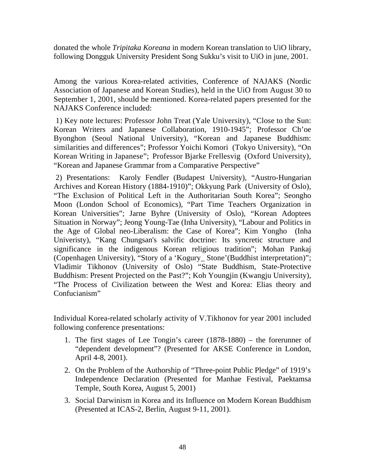donated the whole *Tripitaka Koreana* in modern Korean translation to UiO library, following Dongguk University President Song Sukku's visit to UiO in june, 2001.

Among the various Korea-related activities, Conference of NAJAKS (Nordic Association of Japanese and Korean Studies), held in the UiO from August 30 to September 1, 2001, should be mentioned. Korea-related papers presented for the NAJAKS Conference included:

 1) Key note lectures: Professor John Treat (Yale University), "Close to the Sun: Korean Writers and Japanese Collaboration, 1910-1945"; Professor Ch'oe Byonghon (Seoul National University), "Korean and Japanese Buddhism: similarities and differences"; Professor Yoichi Komori (Tokyo University), "On Korean Writing in Japanese"; Professor Bjarke Frellesvig (Oxford University), "Korean and Japanese Grammar from a Comparative Perspective"

 2) Presentations: Karoly Fendler (Budapest University), "Austro-Hungarian Archives and Korean History (1884-1910)"; Okkyung Park (University of Oslo), "The Exclusion of Political Left in the Authoritarian South Korea"; Seongho Moon (London School of Economics), "Part Time Teachers Organization in Korean Universities"; Jarne Byhre (University of Oslo), "Korean Adoptees Situation in Norway"; Jeong Young-Tae (Inha University), "Labour and Politics in the Age of Global neo-Liberalism: the Case of Korea"; Kim Yongho (Inha Univeristy), "Kang Chungsan's salvific doctrine: Its syncretic structure and significance in the indigenous Korean religious tradition"; Mohan Pankaj (Copenhagen University), "Story of a 'Kogury\_ Stone'(Buddhist interpretation)"; Vladimir Tikhonov (University of Oslo) "State Buddhism, State-Protective Buddhism: Present Projected on the Past?"; Koh Youngjin (Kwangju University), "The Process of Civilization between the West and Korea: Elias theory and Confucianism"

Individual Korea-related scholarly activity of V.Tikhonov for year 2001 included following conference presentations:

- 1. The first stages of Lee Tongin's career (1878-1880) the forerunner of "dependent development"? (Presented for AKSE Conference in London, April 4-8, 2001).
- 2. On the Problem of the Authorship of "Three-point Public Pledge" of 1919's Independence Declaration (Presented for Manhae Festival, Paektamsa Temple, South Korea, August 5, 2001)
- 3. Social Darwinism in Korea and its Influence on Modern Korean Buddhism (Presented at ICAS-2, Berlin, August 9-11, 2001).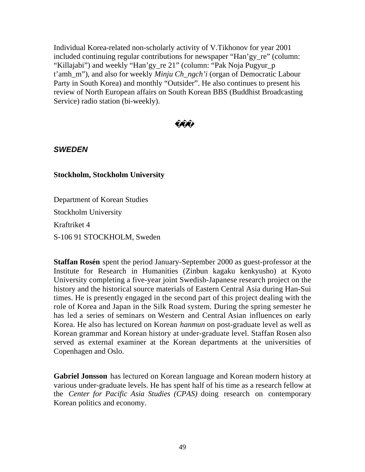Individual Korea-related non-scholarly activity of V.Tikhonov for year 2001 included continuing regular contributions for newspaper "Han'gy\_re" (column: "Killajabi") and weekly "Han'gy\_re 21" (column: "Pak Noja Pugyur\_p t'amh\_m"), and also for weekly *Minju Ch\_ngch'i* (organ of Democratic Labour Party in South Korea) and monthly "Outsider". He also continues to present his review of North European affairs on South Korean BBS (Buddhist Broadcasting Service) radio station (bi-weekly).

## *SWEDEN*

### **Stockholm, Stockholm University**

Department of Korean Studies

Stockholm University

Kraftriket 4

S-106 91 STOCKHOLM, Sweden

**Staffan Rosén** spent the period January-September 2000 as guest-professor at the Institute for Research in Humanities (Zinbun kagaku kenkyusho) at Kyoto University completing a five-year joint Swedish-Japanese research project on the history and the historical source materials of Eastern Central Asia during Han-Sui times. He is presently engaged in the second part of this project dealing with the role of Korea and Japan in the Silk Road system. During the spring semester he has led a series of seminars on Western and Central Asian influences on early Korea. He also has lectured on Korean *hanmun* on post-graduate level as well as Korean grammar and Korean history at under-graduate level. Staffan Rosen also served as external examiner at the Korean departments at the universities of Copenhagen and Oslo.

**Gabriel Jonsson** has lectured on Korean language and Korean modern history at various under-graduate levels. He has spent half of his time as a research fellow at the *Center for Pacific Asia Studies (CPAS)* doing research on contemporary Korean politics and economy.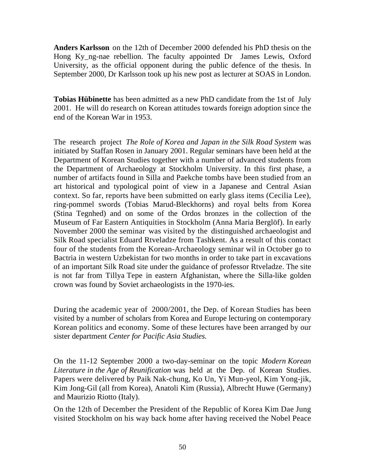**Anders Karlsson** on the 12th of December 2000 defended his PhD thesis on the Hong Ky ng-nae rebellion. The faculty appointed Dr James Lewis, Oxford University, as the official opponent during the public defence of the thesis. In September 2000, Dr Karlsson took up his new post as lecturer at SOAS in London.

**Tobias Hübinette** has been admitted as a new PhD candidate from the 1st of July 2001. He will do research on Korean attitudes towards foreign adoption since the end of the Korean War in 1953.

The research project *The Role of Korea and Japan in the Silk Road System* was initiated by Staffan Rosen in January 2001. Regular seminars have been held at the Department of Korean Studies together with a number of advanced students from the Department of Archaeology at Stockholm University. In this first phase, a number of artifacts found in Silla and Paekche tombs have been studied from an art historical and typological point of view in a Japanese and Central Asian context. So far, reports have been submitted on early glass items (Cecilia Lee), ring-pommel swords (Tobias Marud-Bleckhorns) and royal belts from Korea (Stina Tegnhed) and on some of the Ordos bronzes in the collection of the Museum of Far Eastern Antiquities in Stockholm (Anna Maria Berglöf). In early November 2000 the seminar was visited by the distinguished archaeologist and Silk Road specialist Eduard Rtveladze from Tashkent. As a result of this contact four of the students from the Korean-Archaeology seminar wil in October go to Bactria in western Uzbekistan for two months in order to take part in excavations of an important Silk Road site under the guidance of professor Rtveladze. The site is not far from Tillya Tepe in eastern Afghanistan, where the Silla-like golden crown was found by Soviet archaeologists in the 1970-ies.

During the academic year of 2000/2001, the Dep. of Korean Studies has been visited by a number of scholars from Korea and Europe lecturing on contemporary Korean politics and economy. Some of these lectures have been arranged by our sister department *Center for Pacific Asia Studies.*

On the 11-12 September 2000 a two-day-seminar on the topic *Modern Korean Literature in the Age of Reunification* was held at the Dep. of Korean Studies. Papers were delivered by Paik Nak-chung, Ko Un, Yi Mun-yeol, Kim Yong-jik, Kim Jong-Gil (all from Korea), Anatoli Kim (Russia), Albrecht Huwe (Germany) and Maurizio Riotto (Italy).

On the 12th of December the President of the Republic of Korea Kim Dae Jung visited Stockholm on his way back home after having received the Nobel Peace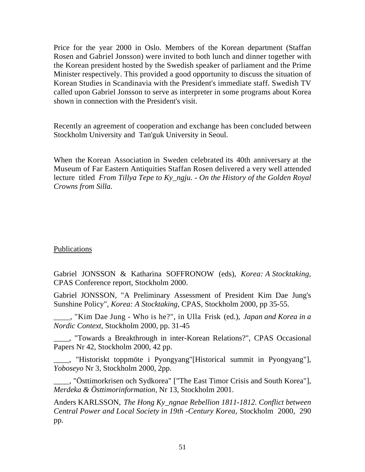Price for the year 2000 in Oslo. Members of the Korean department (Staffan Rosen and Gabriel Jonsson) were invited to both lunch and dinner together with the Korean president hosted by the Swedish speaker of parliament and the Prime Minister respectively. This provided a good opportunity to discuss the situation of Korean Studies in Scandinavia with the President's immediate staff. Swedish TV called upon Gabriel Jonsson to serve as interpreter in some programs about Korea shown in connection with the President's visit.

Recently an agreement of cooperation and exchange has been concluded between Stockholm University and Tan'guk University in Seoul.

When the Korean Association in Sweden celebrated its 40th anniversary at the Museum of Far Eastern Antiquities Staffan Rosen delivered a very well attended lecture titled *From Tillya Tepe to Ky\_ngju. - On the History of the Golden Royal Crowns from Silla.*

### Publications

Gabriel JONSSON & Katharina SOFFRONOW (eds), *Korea: A Stocktaking,* CPAS Conference report, Stockholm 2000.

Gabriel JONSSON, "A Preliminary Assessment of President Kim Dae Jung's Sunshine Policy", *Korea: A Stocktaking,* CPAS, Stockholm 2000, pp 35-55.

\_\_\_\_, "Kim Dae Jung - Who is he?", in Ulla Frisk (ed.), *Japan and Korea in a Nordic Context,* Stockholm 2000, pp. 31-45

\_\_\_\_, "Towards a Breakthrough in inter-Korean Relations?", CPAS Occasional Papers Nr 42, Stockholm 2000, 42 pp.

\_\_\_\_, "Historiskt toppmöte i Pyongyang"[Historical summit in Pyongyang"], *Yoboseyo* Nr 3, Stockholm 2000, 2pp.

\_\_\_\_, "Östtimorkrisen och Sydkorea" ["The East Timor Crisis and South Korea"], *Merdeka & Östtimorinformation,* Nr 13, Stockholm 2001.

Anders KARLSSON, *The Hong Ky\_ngnae Rebellion 1811-1812. Conflict between Central Power and Local Society in 19th -Century Korea,* Stockholm 2000, 290 pp.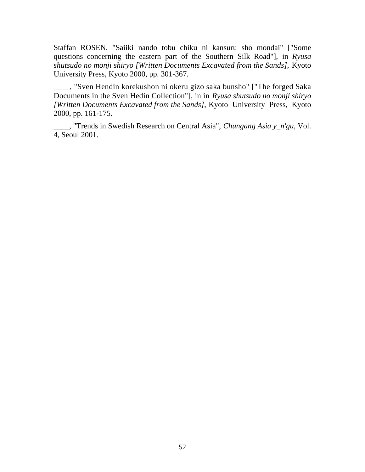Staffan ROSEN, "Saiiki nando tobu chiku ni kansuru sho mondai" ["Some questions concerning the eastern part of the Southern Silk Road"], in *Ryusa shutsudo no monji shiryo [Written Documents Excavated from the Sands],* Kyoto University Press, Kyoto 2000, pp. 301-367.

\_\_\_\_, "Sven Hendin korekushon ni okeru gizo saka bunsho" ["The forged Saka Documents in the Sven Hedin Collection"], in in *Ryusa shutsudo no monji shiryo [Written Documents Excavated from the Sands],* Kyoto University Press, Kyoto 2000, pp. 161-175.

\_\_\_\_, "Trends in Swedish Research on Central Asia", *Chungang Asia y\_n'gu,* Vol. 4, Seoul 2001.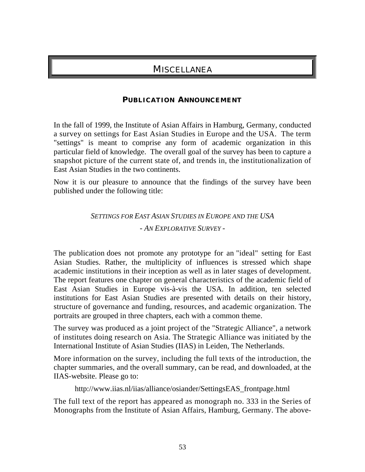## **MISCELLANEA**

### **PUBLICATION ANNOUNCEMENT**

In the fall of 1999, the Institute of Asian Affairs in Hamburg, Germany, conducted a survey on settings for East Asian Studies in Europe and the USA. The term "settings" is meant to comprise any form of academic organization in this particular field of knowledge. The overall goal of the survey has been to capture a snapshot picture of the current state of, and trends in, the institutionalization of East Asian Studies in the two continents.

Now it is our pleasure to announce that the findings of the survey have been published under the following title:

> *SETTINGS FOR EAST ASIAN STUDIES IN EUROPE AND THE USA - AN EXPLORATIVE SURVEY -*

The publication does not promote any prototype for an "ideal" setting for East Asian Studies. Rather, the multiplicity of influences is stressed which shape academic institutions in their inception as well as in later stages of development. The report features one chapter on general characteristics of the academic field of East Asian Studies in Europe vis-à-vis the USA. In addition, ten selected institutions for East Asian Studies are presented with details on their history, structure of governance and funding, resources, and academic organization. The portraits are grouped in three chapters, each with a common theme.

The survey was produced as a joint project of the "Strategic Alliance", a network of institutes doing research on Asia. The Strategic Alliance was initiated by the International Institute of Asian Studies (IIAS) in Leiden, The Netherlands.

More information on the survey, including the full texts of the introduction, the chapter summaries, and the overall summary, can be read, and downloaded, at the IIAS-website. Please go to:

http://www.iias.nl/iias/alliance/osiander/SettingsEAS\_frontpage.html

The full text of the report has appeared as monograph no. 333 in the Series of Monographs from the Institute of Asian Affairs, Hamburg, Germany. The above-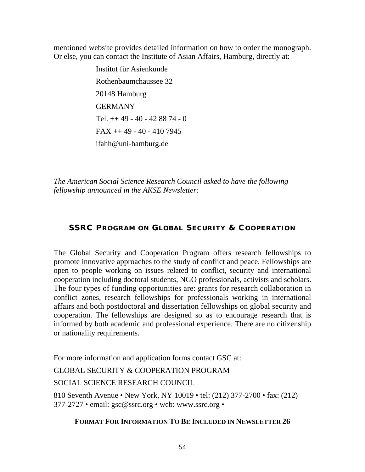mentioned website provides detailed information on how to order the monograph. Or else, you can contact the Institute of Asian Affairs, Hamburg, directly at:

> Institut für Asienkunde Rothenbaumchaussee 32 20148 Hamburg GERMANY Tel.  $++ 49 - 40 - 428874 - 0$ FAX ++ 49 - 40 - 410 7945 ifahh@uni-hamburg.de

*The American Social Science Research Council asked to have the following fellowship announced in the AKSE Newsletter:*

## **SSRC P ROGRAM ON GLOBAL SECURITY & C OOPERATION**

The Global Security and Cooperation Program offers research fellowships to promote innovative approaches to the study of conflict and peace. Fellowships are open to people working on issues related to conflict, security and international cooperation including doctoral students, NGO professionals, activists and scholars. The four types of funding opportunities are: grants for research collaboration in conflict zones, research fellowships for professionals working in international affairs and both postdoctoral and dissertation fellowships on global security and cooperation. The fellowships are designed so as to encourage research that is informed by both academic and professional experience. There are no citizenship or nationality requirements.

For more information and application forms contact GSC at: GLOBAL SECURITY & COOPERATION PROGRAM SOCIAL SCIENCE RESEARCH COUNCIL

810 Seventh Avenue • New York, NY 10019 • tel: (212) 377-2700 • fax: (212) 377-2727 • email: gsc@ssrc.org • web: www.ssrc.org •

**FORMAT FOR INFORMATION TO BE INCLUDED IN NEWSLETTER 26**